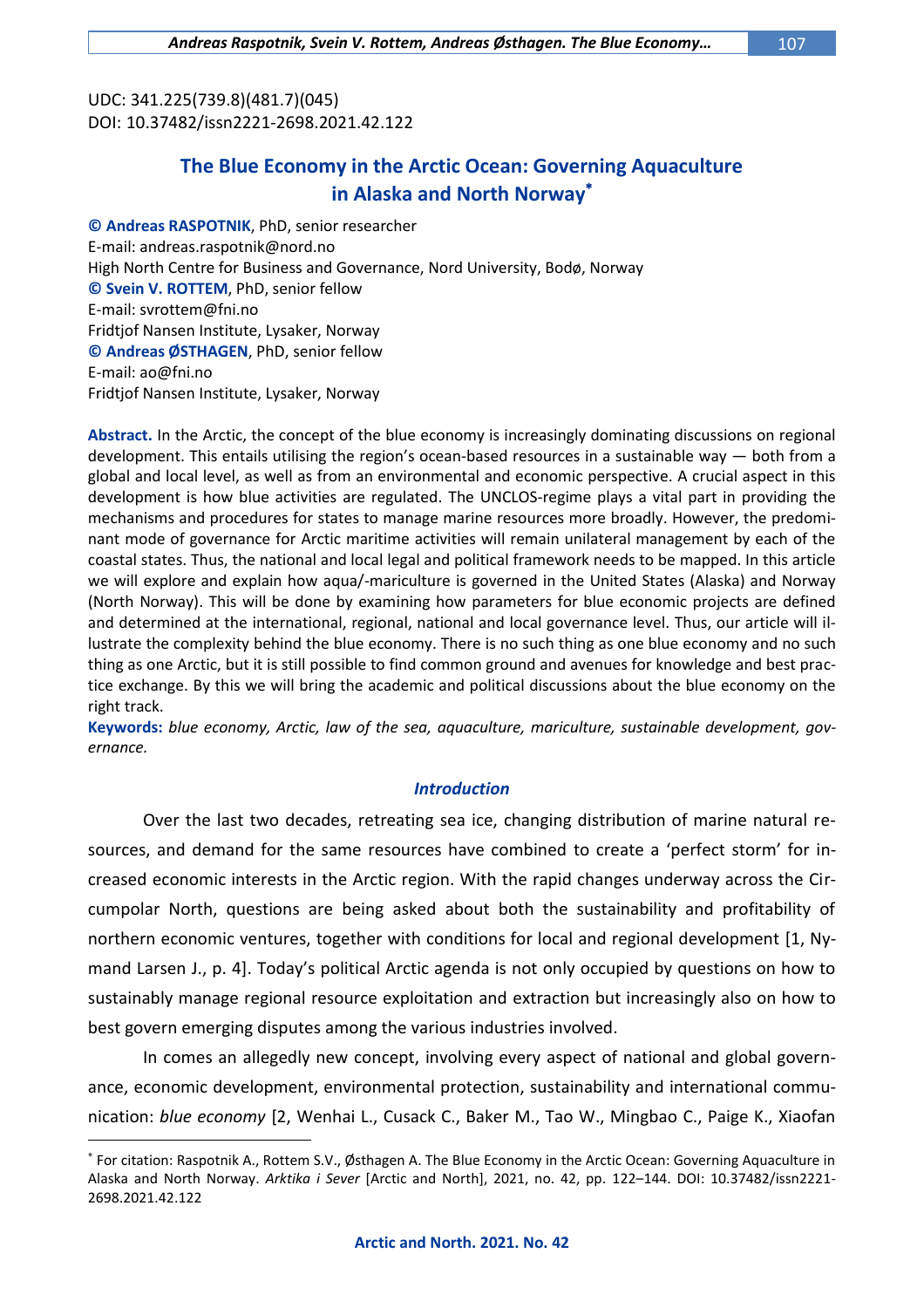UDC: 341.225(739.8)(481.7)(045) DOI: 10.37482/issn2221-2698.2021.42.122

 $\overline{a}$ 

# **The Blue Economy in the Arctic Ocean: Governing Aquaculture in Alaska and North Norway**

**© Andreas RASPOTNIK**, PhD, senior researcher E-mail: [andreas.raspotnik@nord.no](mailto:andreas.raspotnik@nord.no) High North Centre for Business and Governance, Nord University, Bodø, Norway **© Svein V. ROTTEM**, PhD, senior fellow E-mail: [svrottem@fni.no](mailto:svrottem@fni.no) Fridtjof Nansen Institute, Lysaker, Norway **© Andreas ØSTHAGEN**, PhD, senior fellow E-mail: [ao@fni.no](mailto:ao@fni.no) Fridtjof Nansen Institute, Lysaker, Norway

**Abstract.** In the Arctic, the concept of the blue economy is increasingly dominating discussions on regional development. This entails utilising the region's ocean-based resources in a sustainable way — both from a global and local level, as well as from an environmental and economic perspective. A crucial aspect in this development is how blue activities are regulated. The UNCLOS-regime plays a vital part in providing the mechanisms and procedures for states to manage marine resources more broadly. However, the predominant mode of governance for Arctic maritime activities will remain unilateral management by each of the coastal states. Thus, the national and local legal and political framework needs to be mapped. In this article we will explore and explain how aqua/-mariculture is governed in the United States (Alaska) and Norway (North Norway). This will be done by examining how parameters for blue economic projects are defined and determined at the international, regional, national and local governance level. Thus, our article will illustrate the complexity behind the blue economy. There is no such thing as one blue economy and no such thing as one Arctic, but it is still possible to find common ground and avenues for knowledge and best practice exchange. By this we will bring the academic and political discussions about the blue economy on the right track.

**Keywords:** *blue economy, Arctic, law of the sea, aquaculture, mariculture, sustainable development, governance.*

### *Introduction*

Over the last two decades, retreating sea ice, changing distribution of marine natural resources, and demand for the same resources have combined to create a 'perfect storm' for increased economic interests in the Arctic region. With the rapid changes underway across the Circumpolar North, questions are being asked about both the sustainability and profitability of northern economic ventures, together with conditions for local and regional development [1, Nymand Larsen J., p. 4]. Today's political Arctic agenda is not only occupied by questions on how to sustainably manage regional resource exploitation and extraction but increasingly also on how to best govern emerging disputes among the various industries involved.

In comes an allegedly new concept, involving every aspect of national and global governance, economic development, environmental protection, sustainability and international communication: *blue economy* [2, Wenhai L., Cusack C., Baker M., Tao W., Mingbao C., Paige K., Xiaofan

For citation: Raspotnik A., Rottem S.V., Østhagen A. The Blue Economy in the Arctic Ocean: Governing Aquaculture in Alaska and North Norway. *Arktika i Sever* [Arctic and North], 2021, no. 42, pp. 122–144. DOI: 10.37482/issn2221- 2698.2021.42.122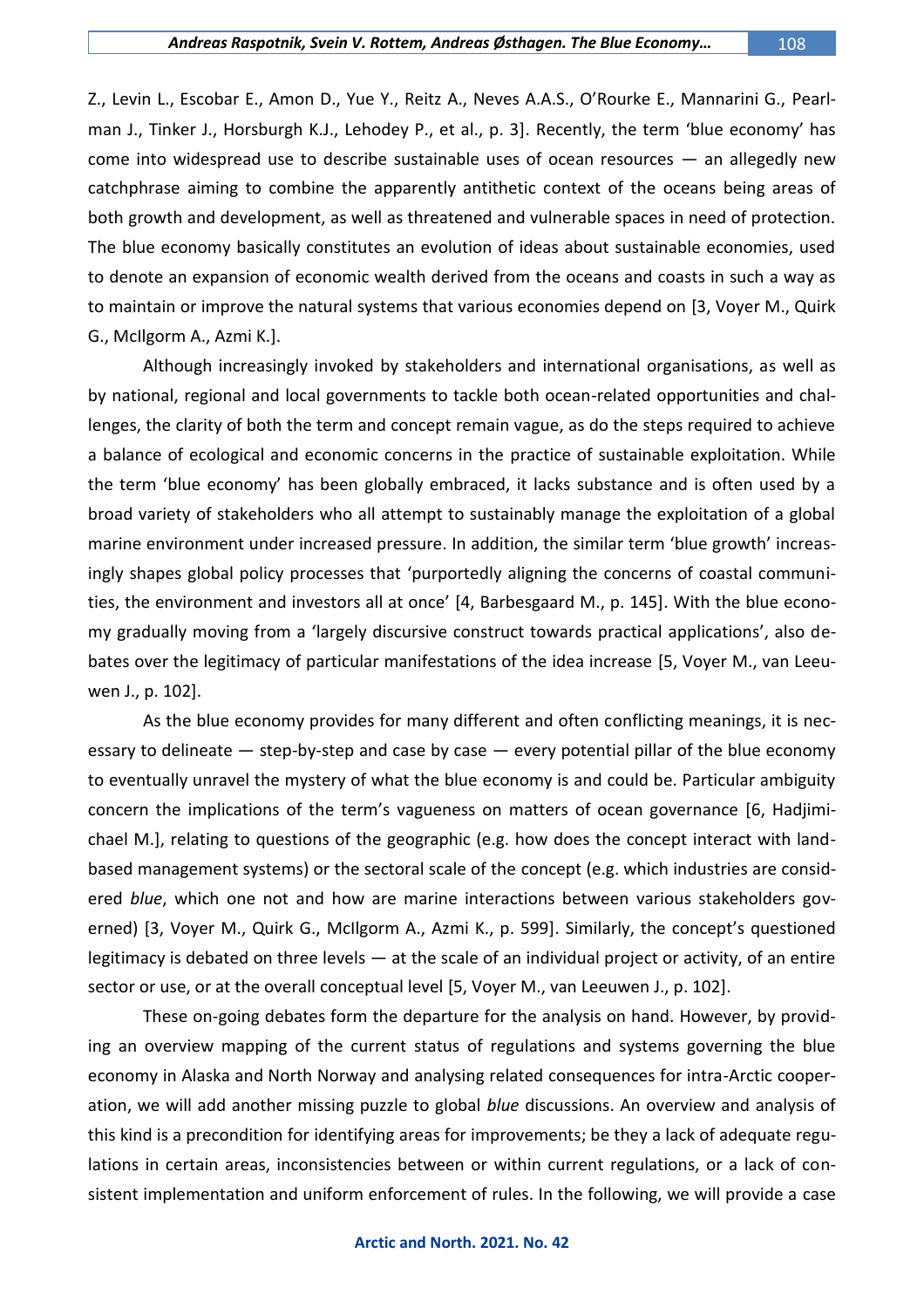Z., Levin L., Escobar E., Amon D., Yue Y., Reitz A., Neves A.A.S., O'Rourke E., Mannarini G., Pearlman J., Tinker J., Horsburgh K.J., Lehodey P., et al., p. 3]. Recently, the term 'blue economy' has come into widespread use to describe sustainable uses of ocean resources — an allegedly new catchphrase aiming to combine the apparently antithetic context of the oceans being areas of both growth and development, as well as threatened and vulnerable spaces in need of protection. The blue economy basically constitutes an evolution of ideas about sustainable economies, used to denote an expansion of economic wealth derived from the oceans and coasts in such a way as to maintain or improve the natural systems that various economies depend on [3, Voyer M., Quirk G., McIlgorm A., Azmi K.].

Although increasingly invoked by stakeholders and international organisations, as well as by national, regional and local governments to tackle both ocean-related opportunities and challenges, the clarity of both the term and concept remain vague, as do the steps required to achieve a balance of ecological and economic concerns in the practice of sustainable exploitation. While the term 'blue economy' has been globally embraced, it lacks substance and is often used by a broad variety of stakeholders who all attempt to sustainably manage the exploitation of a global marine environment under increased pressure. In addition, the similar term 'blue growth' increasingly shapes global policy processes that 'purportedly aligning the concerns of coastal communities, the environment and investors all at once' [4, Barbesgaard M., p. 145]. With the blue economy gradually moving from a 'largely discursive construct towards practical applications', also debates over the legitimacy of particular manifestations of the idea increase [5, Voyer M., van Leeuwen J., p. 102].

As the blue economy provides for many different and often conflicting meanings, it is necessary to delineate  $-$  step-by-step and case by case  $-$  every potential pillar of the blue economy to eventually unravel the mystery of what the blue economy is and could be. Particular ambiguity concern the implications of the term's vagueness on matters of ocean governance [6, Hadjimichael M.], relating to questions of the geographic (e.g. how does the concept interact with landbased management systems) or the sectoral scale of the concept (e.g. which industries are considered *blue*, which one not and how are marine interactions between various stakeholders governed) [3, Voyer M., Quirk G., McIlgorm A., Azmi K., p. 599]. Similarly, the concept's questioned legitimacy is debated on three levels — at the scale of an individual project or activity, of an entire sector or use, or at the overall conceptual level [5, Voyer M., van Leeuwen J., p. 102].

These on-going debates form the departure for the analysis on hand. However, by providing an overview mapping of the current status of regulations and systems governing the blue economy in Alaska and North Norway and analysing related consequences for intra-Arctic cooperation, we will add another missing puzzle to global *blue* discussions. An overview and analysis of this kind is a precondition for identifying areas for improvements; be they a lack of adequate regulations in certain areas, inconsistencies between or within current regulations, or a lack of consistent implementation and uniform enforcement of rules. In the following, we will provide a case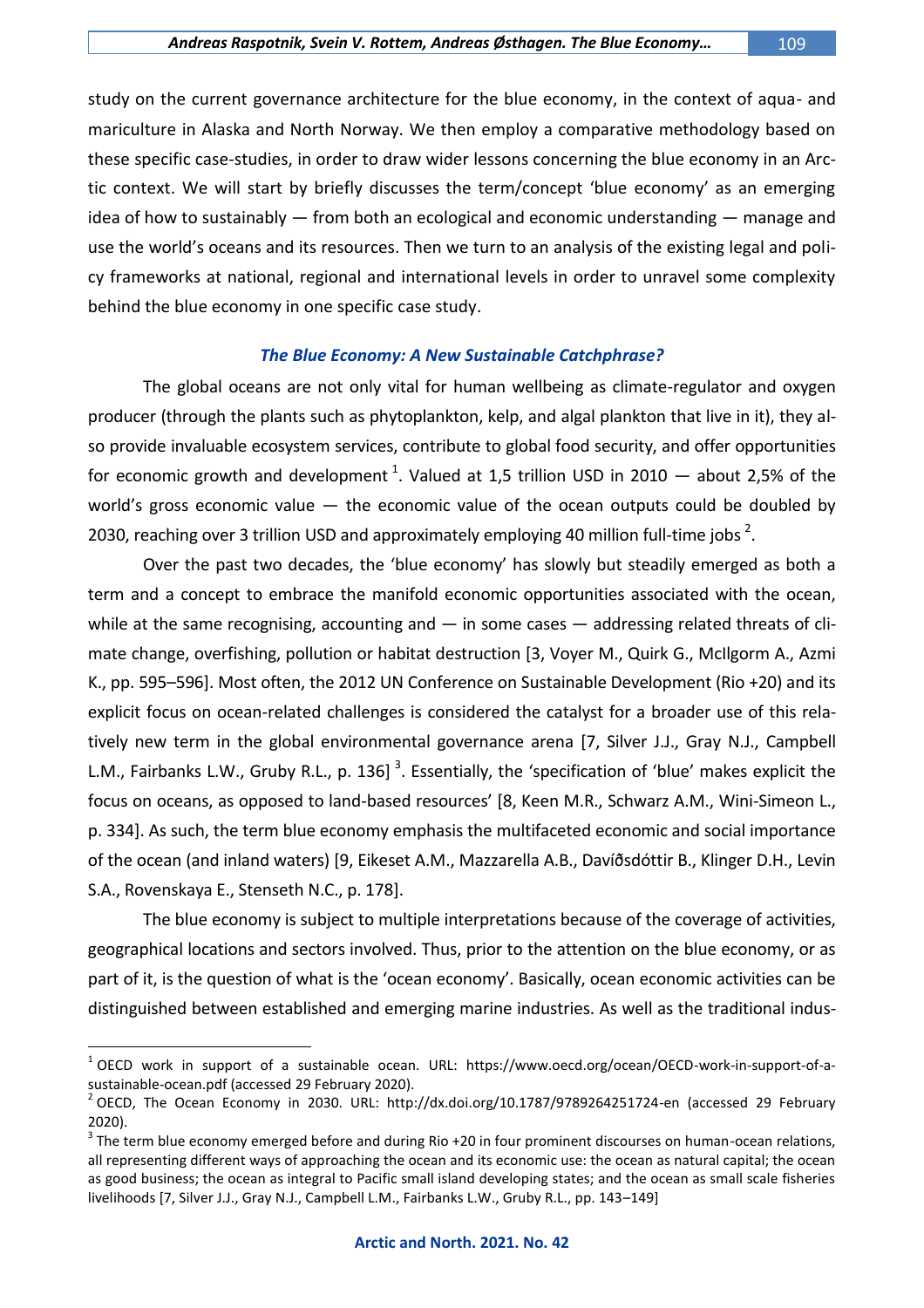study on the current governance architecture for the blue economy, in the context of aqua- and mariculture in Alaska and North Norway. We then employ a comparative methodology based on these specific case-studies, in order to draw wider lessons concerning the blue economy in an Arctic context. We will start by briefly discusses the term/concept 'blue economy' as an emerging idea of how to sustainably — from both an ecological and economic understanding — manage and use the world's oceans and its resources. Then we turn to an analysis of the existing legal and policy frameworks at national, regional and international levels in order to unravel some complexity behind the blue economy in one specific case study.

### *The Blue Economy: A New Sustainable Catchphrase?*

The global oceans are not only vital for human wellbeing as climate-regulator and oxygen producer (through the plants such as phytoplankton, kelp, and algal plankton that live in it), they also provide invaluable ecosystem services, contribute to global food security, and offer opportunities for economic growth and development <sup>1</sup>. Valued at 1,5 trillion USD in 2010  $-$  about 2,5% of the world's gross economic value — the economic value of the ocean outputs could be doubled by 2030, reaching over 3 trillion USD and approximately employing 40 million full-time jobs  $^2$ .

Over the past two decades, the 'blue economy' has slowly but steadily emerged as both a term and a concept to embrace the manifold economic opportunities associated with the ocean, while at the same recognising, accounting and  $-$  in some cases  $-$  addressing related threats of climate change, overfishing, pollution or habitat destruction [3, Voyer M., Quirk G., McIlgorm A., Azmi K., pp. 595–596]. Most often, the 2012 UN Conference on Sustainable Development (Rio +20) and its explicit focus on ocean-related challenges is considered the catalyst for a broader use of this relatively new term in the global environmental governance arena [7, Silver J.J., Gray N.J., Campbell L.M., Fairbanks L.W., Gruby R.L., p. 136]  $^3$ . Essentially, the 'specification of 'blue' makes explicit the focus on oceans, as opposed to land-based resources' [8, Keen M.R., Schwarz A.M., Wini-Simeon L., p. 334]. As such, the term blue economy emphasis the multifaceted economic and social importance of the ocean (and inland waters) [9, Eikeset A.M., Mazzarella A.B., Davíðsdóttir B., Klinger D.H., Levin S.A., Rovenskaya E., Stenseth N.C., p. 178].

The blue economy is subject to multiple interpretations because of the coverage of activities, geographical locations and sectors involved. Thus, prior to the attention on the blue economy, or as part of it, is the question of what is the 'ocean economy'. Basically, ocean economic activities can be distinguished between established and emerging marine industries. As well as the traditional indus-

<sup>&</sup>lt;sup>1</sup> OECD work in support of a sustainable ocean. URL: https://www.oecd.org/ocean/OECD-work-in-support-of-asustainable-ocean.pdf (accessed 29 February 2020).

 $^{2}$  OECD, The Ocean Economy in 2030. URL: http://dx.doi.org/10.1787/9789264251724-en (accessed 29 February 2020).

 $3$  The term blue economy emerged before and during Rio +20 in four prominent discourses on human-ocean relations, all representing different ways of approaching the ocean and its economic use: the ocean as natural capital; the ocean as good business; the ocean as integral to Pacific small island developing states; and the ocean as small scale fisheries livelihoods [7, Silver J.J., Gray N.J., Campbell L.M., Fairbanks L.W., Gruby R.L., pp. 143–149]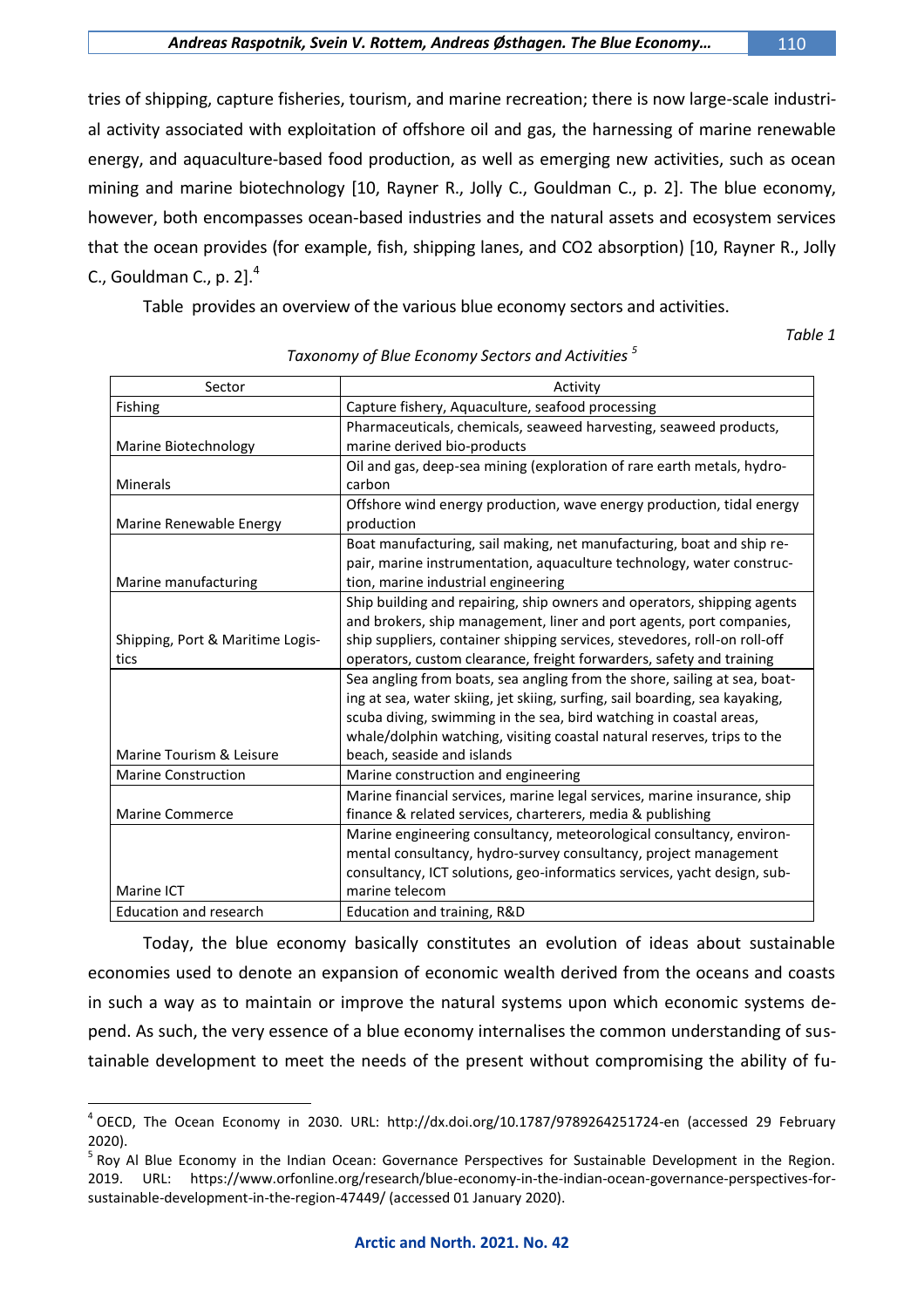tries of shipping, capture fisheries, tourism, and marine recreation; there is now large-scale industrial activity associated with exploitation of offshore oil and gas, the harnessing of marine renewable energy, and aquaculture-based food production, as well as emerging new activities, such as ocean mining and marine biotechnology [10, Rayner R., Jolly C., Gouldman C., p. 2]. The blue economy, however, both encompasses ocean-based industries and the natural assets and ecosystem services that the ocean provides (for example, fish, shipping lanes, and CO2 absorption) [10, Rayner R., Jolly C., Gouldman C., p. 2].<sup>4</sup>

[Table](#page-3-0) provides an overview of the various blue economy sectors and activities.

<span id="page-3-0"></span>*Table 1*

| Sector                           | Activity                                                                    |
|----------------------------------|-----------------------------------------------------------------------------|
| Fishing                          | Capture fishery, Aquaculture, seafood processing                            |
|                                  | Pharmaceuticals, chemicals, seaweed harvesting, seaweed products,           |
| Marine Biotechnology             | marine derived bio-products                                                 |
|                                  | Oil and gas, deep-sea mining (exploration of rare earth metals, hydro-      |
| <b>Minerals</b>                  | carbon                                                                      |
|                                  | Offshore wind energy production, wave energy production, tidal energy       |
| Marine Renewable Energy          | production                                                                  |
|                                  | Boat manufacturing, sail making, net manufacturing, boat and ship re-       |
|                                  | pair, marine instrumentation, aquaculture technology, water construc-       |
| Marine manufacturing             | tion, marine industrial engineering                                         |
|                                  | Ship building and repairing, ship owners and operators, shipping agents     |
|                                  | and brokers, ship management, liner and port agents, port companies,        |
| Shipping, Port & Maritime Logis- | ship suppliers, container shipping services, stevedores, roll-on roll-off   |
| tics                             | operators, custom clearance, freight forwarders, safety and training        |
|                                  | Sea angling from boats, sea angling from the shore, sailing at sea, boat-   |
|                                  | ing at sea, water skiing, jet skiing, surfing, sail boarding, sea kayaking, |
|                                  | scuba diving, swimming in the sea, bird watching in coastal areas,          |
|                                  | whale/dolphin watching, visiting coastal natural reserves, trips to the     |
| Marine Tourism & Leisure         | beach, seaside and islands                                                  |
| <b>Marine Construction</b>       | Marine construction and engineering                                         |
|                                  | Marine financial services, marine legal services, marine insurance, ship    |
| <b>Marine Commerce</b>           | finance & related services, charterers, media & publishing                  |
|                                  | Marine engineering consultancy, meteorological consultancy, environ-        |
|                                  | mental consultancy, hydro-survey consultancy, project management            |
|                                  | consultancy, ICT solutions, geo-informatics services, yacht design, sub-    |
| <b>Marine ICT</b>                | marine telecom                                                              |
| <b>Education and research</b>    | Education and training, R&D                                                 |

### *Taxonomy of Blue Economy Sectors and Activities <sup>5</sup>*

Today, the blue economy basically constitutes an evolution of ideas about sustainable economies used to denote an expansion of economic wealth derived from the oceans and coasts in such a way as to maintain or improve the natural systems upon which economic systems depend. As such, the very essence of a blue economy internalises the common understanding of sustainable development to meet the needs of the present without compromising the ability of fu-

<sup>4</sup> OECD, The Ocean Economy in 2030. URL: http://dx.doi.org/10.1787/9789264251724-en (accessed 29 February 2020).

<sup>&</sup>lt;sup>5</sup> Roy Al Blue Economy in the Indian Ocean: Governance Perspectives for Sustainable Development in the Region. 2019. URL: https://www.orfonline.org/research/blue-economy-in-the-indian-ocean-governance-perspectives-forsustainable-development-in-the-region-47449/ (accessed 01 January 2020).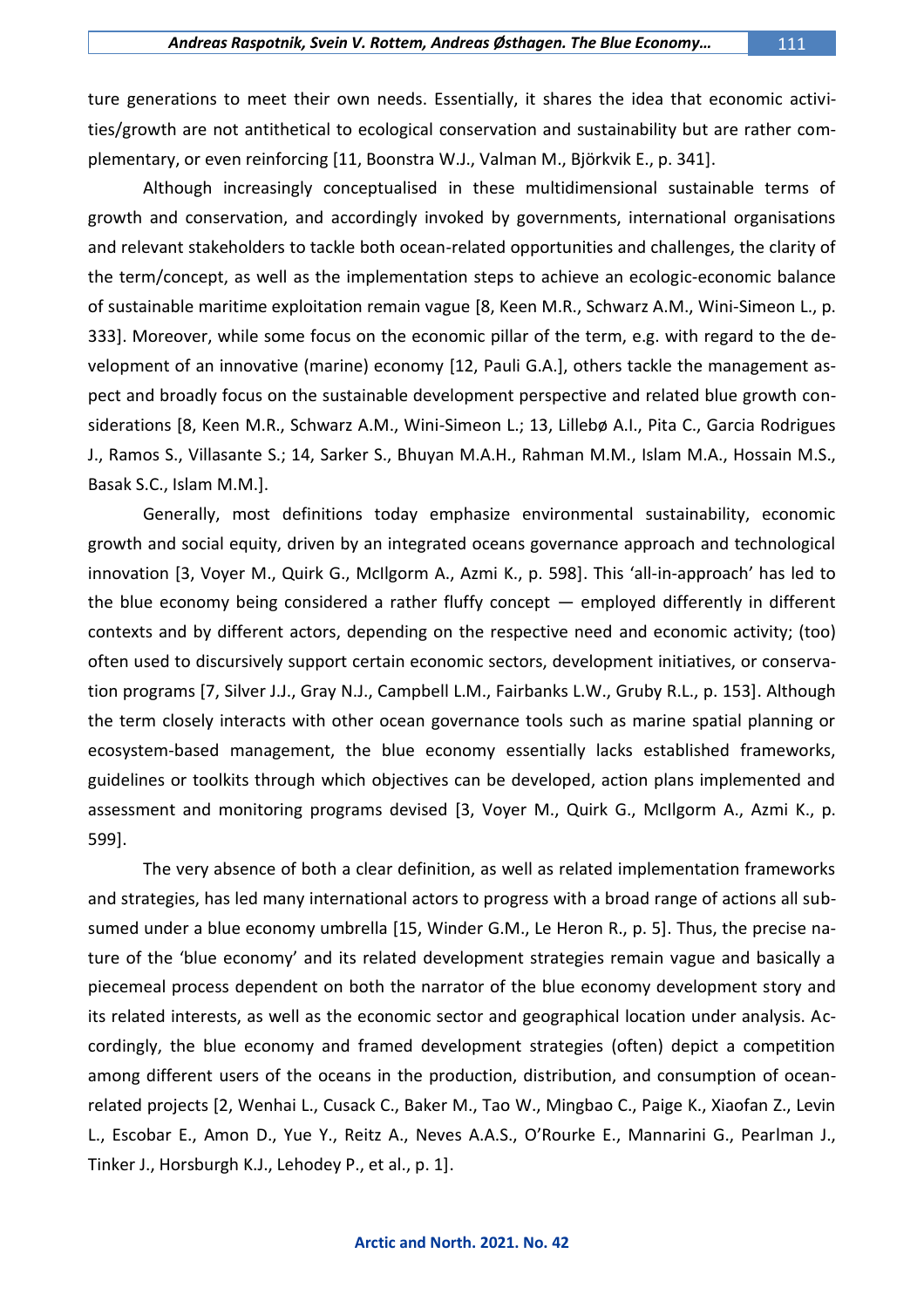ture generations to meet their own needs. Essentially, it shares the idea that economic activities/growth are not antithetical to ecological conservation and sustainability but are rather complementary, or even reinforcing [11, Boonstra W.J., Valman M., Björkvik E., p. 341].

Although increasingly conceptualised in these multidimensional sustainable terms of growth and conservation, and accordingly invoked by governments, international organisations and relevant stakeholders to tackle both ocean-related opportunities and challenges, the clarity of the term/concept, as well as the implementation steps to achieve an ecologic-economic balance of sustainable maritime exploitation remain vague [8, Keen M.R., Schwarz A.M., Wini-Simeon L., p. 333]. Moreover, while some focus on the economic pillar of the term, e.g. with regard to the development of an innovative (marine) economy [12, Pauli G.A.], others tackle the management aspect and broadly focus on the sustainable development perspective and related blue growth considerations [8, Keen M.R., Schwarz A.M., Wini-Simeon L.; 13, Lillebø A.I., Pita C., Garcia Rodrigues J., Ramos S., Villasante S.; 14, Sarker S., Bhuyan M.A.H., Rahman M.M., Islam M.A., Hossain M.S., Basak S.C., Islam M.M.].

Generally, most definitions today emphasize environmental sustainability, economic growth and social equity, driven by an integrated oceans governance approach and technological innovation [3, Voyer M., Quirk G., McIlgorm A., Azmi K., p. 598]. This 'all-in-approach' has led to the blue economy being considered a rather fluffy concept — employed differently in different contexts and by different actors, depending on the respective need and economic activity; (too) often used to discursively support certain economic sectors, development initiatives, or conservation programs [7, Silver J.J., Gray N.J., Campbell L.M., Fairbanks L.W., Gruby R.L., p. 153]. Although the term closely interacts with other ocean governance tools such as marine spatial planning or ecosystem-based management, the blue economy essentially lacks established frameworks, guidelines or toolkits through which objectives can be developed, action plans implemented and assessment and monitoring programs devised [3, Voyer M., Quirk G., McIlgorm A., Azmi K., p. 599].

The very absence of both a clear definition, as well as related implementation frameworks and strategies, has led many international actors to progress with a broad range of actions all subsumed under a blue economy umbrella [15, Winder G.M., Le Heron R., p. 5]. Thus, the precise nature of the 'blue economy' and its related development strategies remain vague and basically a piecemeal process dependent on both the narrator of the blue economy development story and its related interests, as well as the economic sector and geographical location under analysis. Accordingly, the blue economy and framed development strategies (often) depict a competition among different users of the oceans in the production, distribution, and consumption of oceanrelated projects [2, Wenhai L., Cusack C., Baker M., Tao W., Mingbao C., Paige K., Xiaofan Z., Levin L., Escobar E., Amon D., Yue Y., Reitz A., Neves A.A.S., O'Rourke E., Mannarini G., Pearlman J., Tinker J., Horsburgh K.J., Lehodey P., et al., p. 1].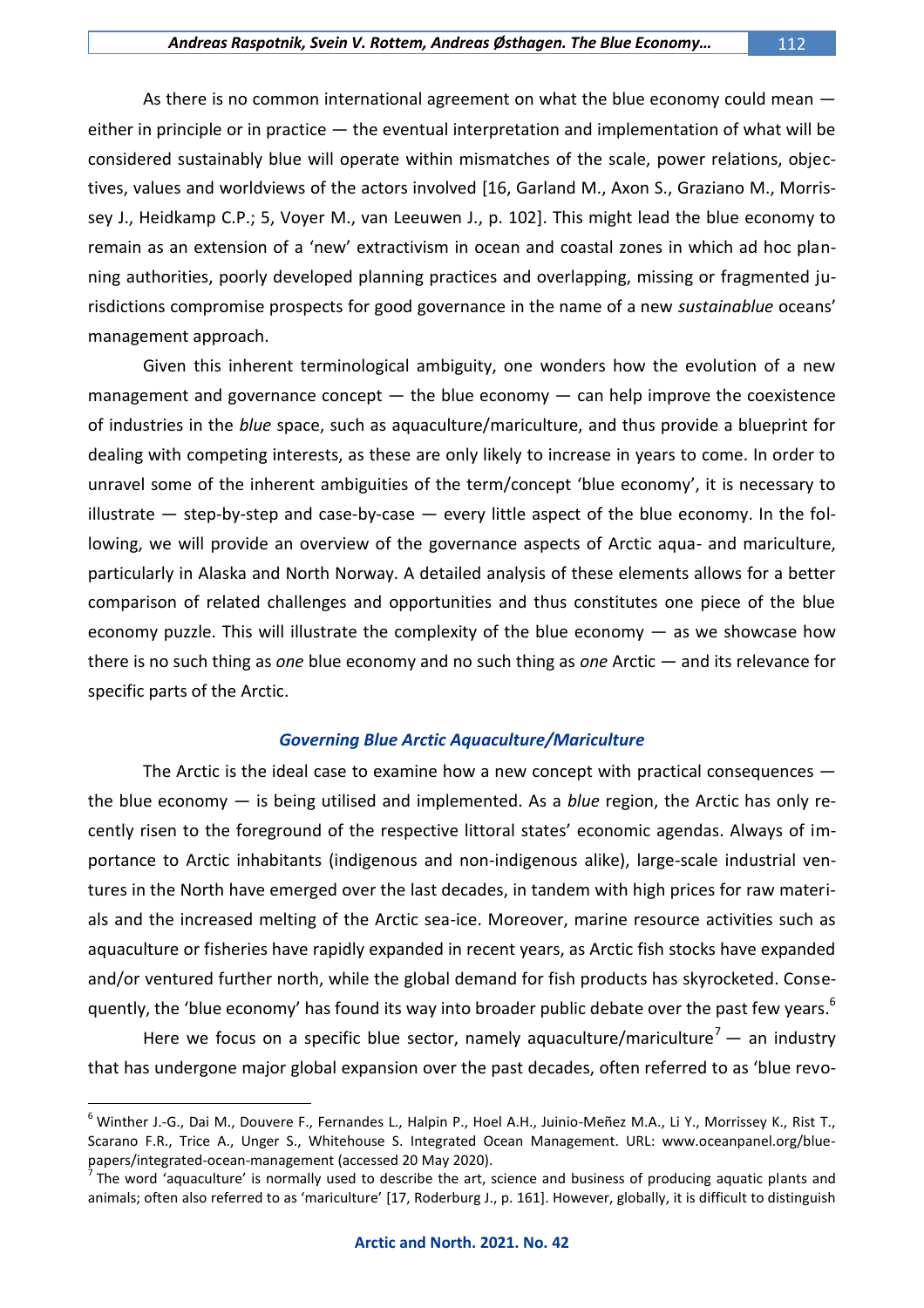As there is no common international agreement on what the blue economy could mean either in principle or in practice  $-$  the eventual interpretation and implementation of what will be considered sustainably blue will operate within mismatches of the scale, power relations, objectives, values and worldviews of the actors involved [16, Garland M., Axon S., Graziano M., Morrissey J., Heidkamp C.P.; 5, Voyer M., van Leeuwen J., p. 102]. This might lead the blue economy to remain as an extension of a 'new' extractivism in ocean and coastal zones in which ad hoc planning authorities, poorly developed planning practices and overlapping, missing or fragmented jurisdictions compromise prospects for good governance in the name of a new *sustainablue* oceans' management approach.

Given this inherent terminological ambiguity, one wonders how the evolution of a new management and governance concept  $-$  the blue economy  $-$  can help improve the coexistence of industries in the *blue* space, such as aquaculture/mariculture, and thus provide a blueprint for dealing with competing interests, as these are only likely to increase in years to come. In order to unravel some of the inherent ambiguities of the term/concept 'blue economy', it is necessary to illustrate  $-$  step-by-step and case-by-case  $-$  every little aspect of the blue economy. In the following, we will provide an overview of the governance aspects of Arctic aqua- and mariculture, particularly in Alaska and North Norway. A detailed analysis of these elements allows for a better comparison of related challenges and opportunities and thus constitutes one piece of the blue economy puzzle. This will illustrate the complexity of the blue economy — as we showcase how there is no such thing as *one* blue economy and no such thing as *one* Arctic — and its relevance for specific parts of the Arctic.

### *Governing Blue Arctic Aquaculture/Mariculture*

The Arctic is the ideal case to examine how a new concept with practical consequences the blue economy — is being utilised and implemented. As a *blue* region, the Arctic has only recently risen to the foreground of the respective littoral states' economic agendas. Always of importance to Arctic inhabitants (indigenous and non-indigenous alike), large-scale industrial ventures in the North have emerged over the last decades, in tandem with high prices for raw materials and the increased melting of the Arctic sea-ice. Moreover, marine resource activities such as aquaculture or fisheries have rapidly expanded in recent years, as Arctic fish stocks have expanded and/or ventured further north, while the global demand for fish products has skyrocketed. Consequently, the 'blue economy' has found its way into broader public debate over the past few years.<sup>6</sup>

Here we focus on a specific blue sector, namely aquaculture/mariculture<sup>7</sup> — an industry that has undergone major global expansion over the past decades, often referred to as 'blue revo-

<sup>6</sup> Winther J.-G., Dai M., Douvere F., Fernandes L., Halpin P., Hoel A.H., Juinio-Meñez M.A., Li Y., Morrissey K., Rist T., Scarano F.R., Trice A., Unger S., Whitehouse S. Integrated Ocean Management. URL: www.oceanpanel.org/bluepapers/integrated-ocean-management (accessed 20 May 2020).

 $^7$  The word 'aquaculture' is normally used to describe the art, science and business of producing aquatic plants and animals; often also referred to as 'mariculture' [17, Roderburg J., p. 161]. However, globally, it is difficult to distinguish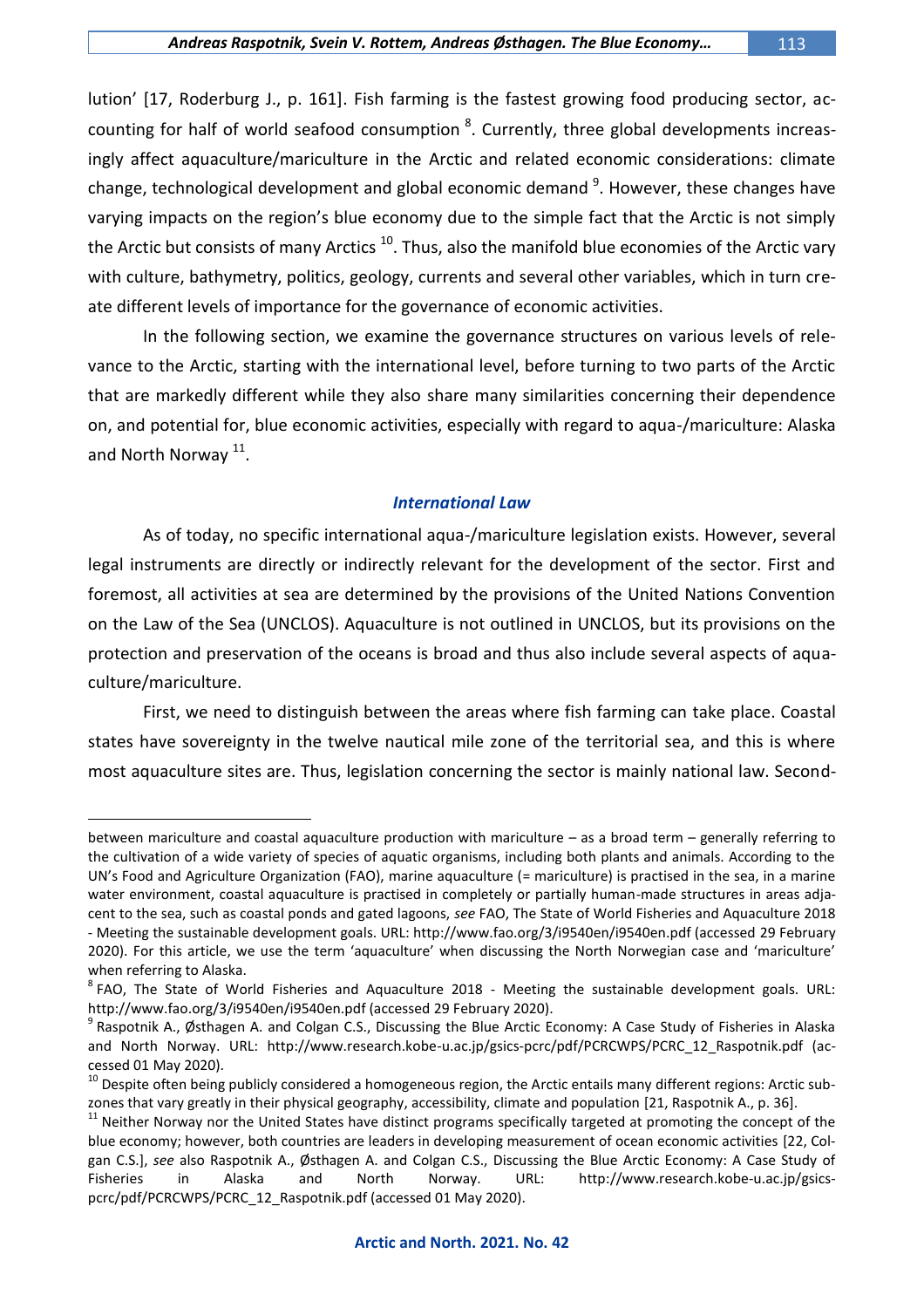lution' [17, Roderburg J., p. 161]. Fish farming is the fastest growing food producing sector, accounting for half of world seafood consumption <sup>8</sup>. Currently, three global developments increasingly affect aquaculture/mariculture in the Arctic and related economic considerations: climate change, technological development and global economic demand <sup>9</sup>. However, these changes have varying impacts on the region's blue economy due to the simple fact that the Arctic is not simply the Arctic but consists of many Arctics <sup>10</sup>. Thus, also the manifold blue economies of the Arctic vary with culture, bathymetry, politics, geology, currents and several other variables, which in turn create different levels of importance for the governance of economic activities.

In the following section, we examine the governance structures on various levels of relevance to the Arctic, starting with the international level, before turning to two parts of the Arctic that are markedly different while they also share many similarities concerning their dependence on, and potential for, blue economic activities, especially with regard to aqua-/mariculture: Alaska and North Norway <sup>11</sup>.

#### *International Law*

As of today, no specific international aqua-/mariculture legislation exists. However, several legal instruments are directly or indirectly relevant for the development of the sector. First and foremost, all activities at sea are determined by the provisions of the United Nations Convention on the Law of the Sea (UNCLOS). Aquaculture is not outlined in UNCLOS, but its provisions on the protection and preservation of the oceans is broad and thus also include several aspects of aquaculture/mariculture.

First, we need to distinguish between the areas where fish farming can take place. Coastal states have sovereignty in the twelve nautical mile zone of the territorial sea, and this is where most aquaculture sites are. Thus, legislation concerning the sector is mainly national law. Second-

between mariculture and coastal aquaculture production with mariculture – as a broad term – generally referring to the cultivation of a wide variety of species of aquatic organisms, including both plants and animals. According to the UN's Food and Agriculture Organization (FAO), marine aquaculture (= mariculture) is practised in the sea, in a marine water environment, coastal aquaculture is practised in completely or partially human-made structures in areas adjacent to the sea, such as coastal ponds and gated lagoons, *see* FAO, The State of World Fisheries and Aquaculture 2018 - Meeting the sustainable development goals. URL: http://www.fao.org/3/i9540en/i9540en.pdf (accessed 29 February 2020). For this article, we use the term 'aquaculture' when discussing the North Norwegian case and 'mariculture' when referring to Alaska.

<sup>&</sup>lt;sup>8</sup> FAO, The State of World Fisheries and Aquaculture 2018 - Meeting the sustainable development goals. URL: http://www.fao.org/3/i9540en/i9540en.pdf (accessed 29 February 2020).

<sup>&</sup>lt;sup>9</sup> Raspotnik A., Østhagen A. and Colgan C.S., Discussing the Blue Arctic Economy: A Case Study of Fisheries in Alaska and North Norway. URL: http://www.research.kobe-u.ac.jp/gsics-pcrc/pdf/PCRCWPS/PCRC\_12\_Raspotnik.pdf (accessed 01 May 2020).

 $10$  Despite often being publicly considered a homogeneous region, the Arctic entails many different regions: Arctic subzones that vary greatly in their physical geography, accessibility, climate and population [21, Raspotnik A., p. 36].

<sup>&</sup>lt;sup>11</sup> Neither Norway nor the United States have distinct programs specifically targeted at promoting the concept of the blue economy; however, both countries are leaders in developing measurement of ocean economic activities [22, Colgan C.S.], *see* also Raspotnik A., Østhagen A. and Colgan C.S., Discussing the Blue Arctic Economy: A Case Study of Fisheries in Alaska and North Norway. URL: http://www.research.kobe-u.ac.jp/gsicspcrc/pdf/PCRCWPS/PCRC\_12\_Raspotnik.pdf (accessed 01 May 2020).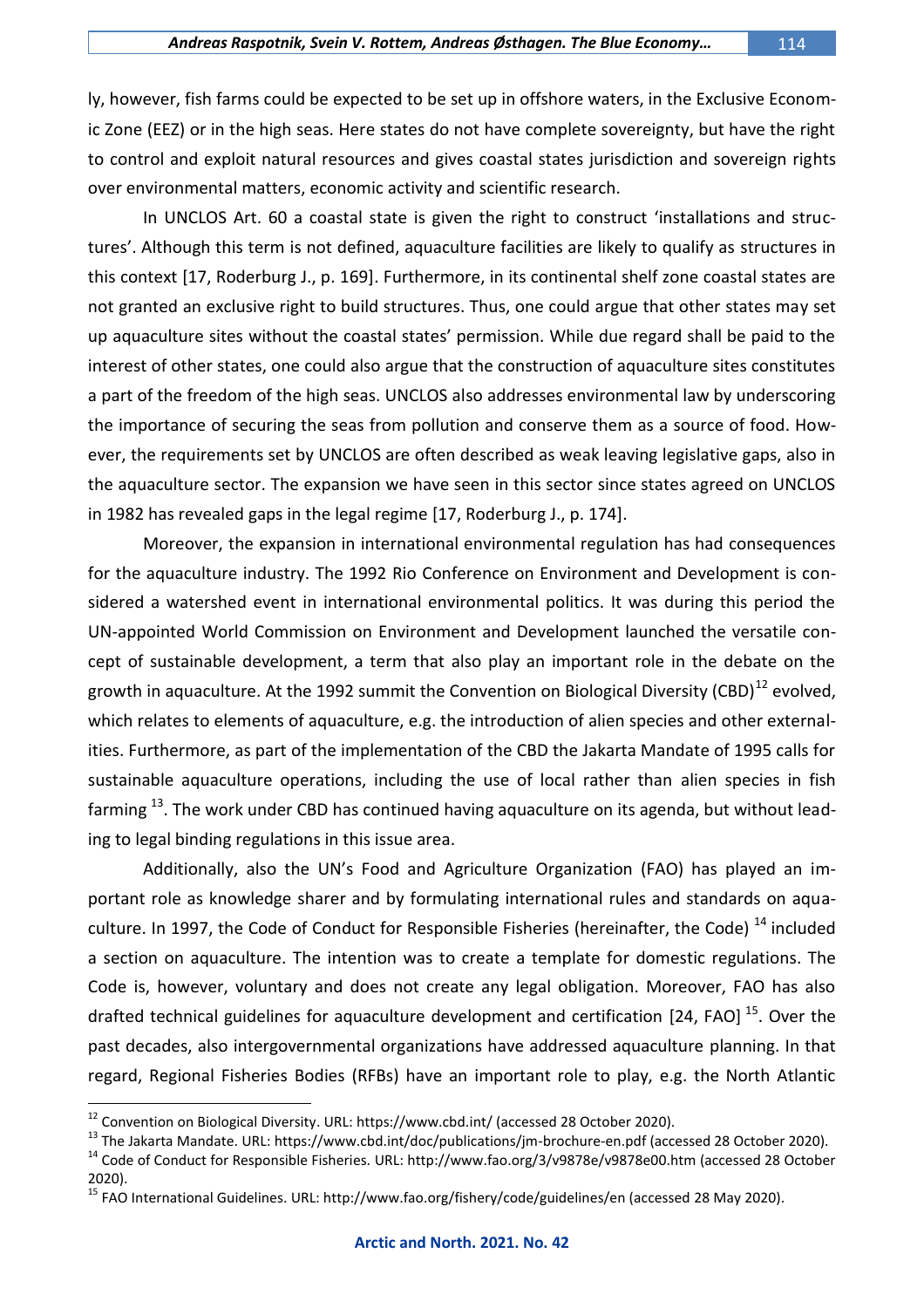ly, however, fish farms could be expected to be set up in offshore waters, in the Exclusive Economic Zone (EEZ) or in the high seas. Here states do not have complete sovereignty, but have the right to control and exploit natural resources and gives coastal states jurisdiction and sovereign rights over environmental matters, economic activity and scientific research.

In UNCLOS Art. 60 a coastal state is given the right to construct 'installations and structures'. Although this term is not defined, aquaculture facilities are likely to qualify as structures in this context [17, Roderburg J., p. 169]. Furthermore, in its continental shelf zone coastal states are not granted an exclusive right to build structures. Thus, one could argue that other states may set up aquaculture sites without the coastal states' permission. While due regard shall be paid to the interest of other states, one could also argue that the construction of aquaculture sites constitutes a part of the freedom of the high seas. UNCLOS also addresses environmental law by underscoring the importance of securing the seas from pollution and conserve them as a source of food. However, the requirements set by UNCLOS are often described as weak leaving legislative gaps, also in the aquaculture sector. The expansion we have seen in this sector since states agreed on UNCLOS in 1982 has revealed gaps in the legal regime [17, Roderburg J., p. 174].

Moreover, the expansion in international environmental regulation has had consequences for the aquaculture industry. The 1992 Rio Conference on Environment and Development is considered a watershed event in international environmental politics. It was during this period the UN-appointed World Commission on Environment and Development launched the versatile concept of sustainable development, a term that also play an important role in the debate on the growth in aquaculture. At the 1992 summit the Convention on Biological Diversity (CBD)<sup>12</sup> evolved, which relates to elements of aquaculture, e.g. the introduction of alien species and other externalities. Furthermore, as part of the implementation of the CBD the Jakarta Mandate of 1995 calls for sustainable aquaculture operations, including the use of local rather than alien species in fish farming <sup>13</sup>. The work under CBD has continued having aquaculture on its agenda, but without leading to legal binding regulations in this issue area.

Additionally, also the UN's Food and Agriculture Organization (FAO) has played an important role as knowledge sharer and by formulating international rules and standards on aquaculture. In 1997, the Code of Conduct for Responsible Fisheries (hereinafter, the Code)<sup>14</sup> included a section on aquaculture. The intention was to create a template for domestic regulations. The Code is, however, voluntary and does not create any legal obligation. Moreover, FAO has also drafted technical guidelines for aquaculture development and certification [24, FAO]<sup>15</sup>. Over the past decades, also intergovernmental organizations have addressed aquaculture planning. In that regard, Regional Fisheries Bodies (RFBs) have an important role to play, e.g. the North Atlantic

<sup>&</sup>lt;sup>12</sup> Convention on Biological Diversity. URL: https://www.cbd.int/ (accessed 28 October 2020).

<sup>13</sup> The Jakarta Mandate. URL: https://www.cbd.int/doc/publications/jm-brochure-en.pdf (accessed 28 October 2020).

<sup>&</sup>lt;sup>14</sup> Code of Conduct for Responsible Fisheries. URL: http://www.fao.org/3/v9878e/v9878e00.htm (accessed 28 October 2020).

<sup>&</sup>lt;sup>15</sup> FAO International Guidelines. URL: http://www.fao.org/fishery/code/guidelines/en (accessed 28 May 2020).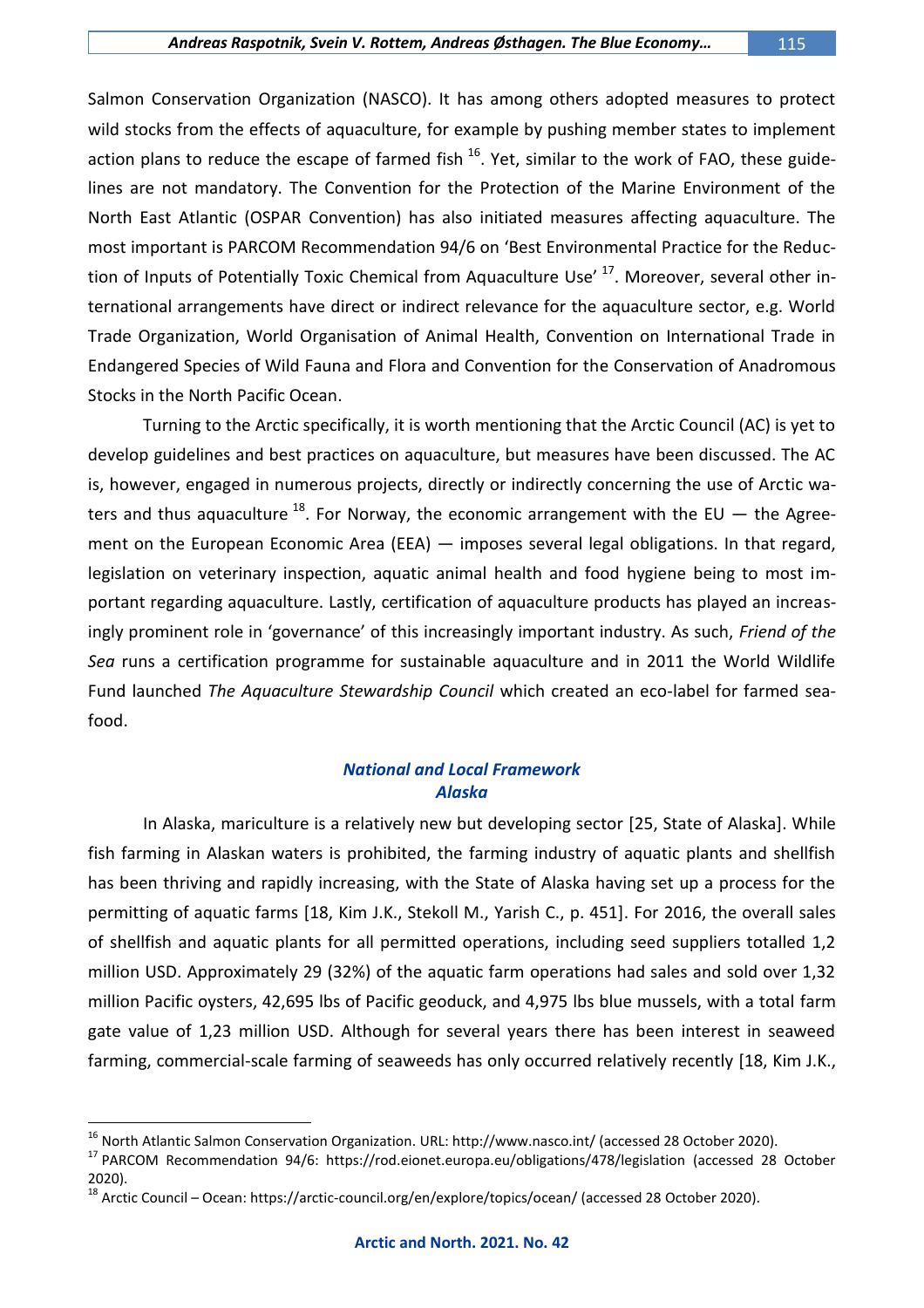Salmon Conservation Organization (NASCO). It has among others adopted measures to protect wild stocks from the effects of aquaculture, for example by pushing member states to implement action plans to reduce the escape of farmed fish <sup>16</sup>. Yet, similar to the work of FAO, these guidelines are not mandatory. The Convention for the Protection of the Marine Environment of the North East Atlantic (OSPAR Convention) has also initiated measures affecting aquaculture. The most important is PARCOM Recommendation 94/6 on 'Best Environmental Practice for the Reduction of Inputs of Potentially Toxic Chemical from Aquaculture Use' <sup>17</sup>. Moreover, several other international arrangements have direct or indirect relevance for the aquaculture sector, e.g. World Trade Organization, World Organisation of Animal Health, Convention on International Trade in Endangered Species of Wild Fauna and Flora and Convention for the Conservation of Anadromous Stocks in the North Pacific Ocean.

Turning to the Arctic specifically, it is worth mentioning that the Arctic Council (AC) is yet to develop guidelines and best practices on aquaculture, but measures have been discussed. The AC is, however, engaged in numerous projects, directly or indirectly concerning the use of Arctic waters and thus aquaculture  $^{18}$ . For Norway, the economic arrangement with the EU  $-$  the Agreement on the European Economic Area (EEA) — imposes several legal obligations. In that regard, legislation on veterinary inspection, aquatic animal health and food hygiene being to most important regarding aquaculture. Lastly, certification of aquaculture products has played an increasingly prominent role in 'governance' of this increasingly important industry. As such, *Friend of the Sea* runs a certification programme for sustainable aquaculture and in 2011 the World Wildlife Fund launched *The Aquaculture Stewardship Council* which created an eco-label for farmed seafood.

# *National and Local Framework Alaska*

In Alaska, mariculture is a relatively new but developing sector [25, State of Alaska]. While fish farming in Alaskan waters is prohibited, the farming industry of aquatic plants and shellfish has been thriving and rapidly increasing, with the State of Alaska having set up a process for the permitting of aquatic farms [18, Kim J.K., Stekoll M., Yarish C., p. 451]. For 2016, the overall sales of shellfish and aquatic plants for all permitted operations, including seed suppliers totalled 1,2 million USD. Approximately 29 (32%) of the aquatic farm operations had sales and sold over 1,32 million Pacific oysters, 42,695 lbs of Pacific geoduck, and 4,975 lbs blue mussels, with a total farm gate value of 1,23 million USD. Although for several years there has been interest in seaweed farming, commercial-scale farming of seaweeds has only occurred relatively recently [18, Kim J.K.,

<sup>&</sup>lt;sup>16</sup> North Atlantic Salmon Conservation Organization. URL: http://www.nasco.int/ (accessed 28 October 2020).

<sup>&</sup>lt;sup>17</sup> PARCOM Recommendation 94/6: https://rod.eionet.europa.eu/obligations/478/legislation (accessed 28 October 2020).

<sup>&</sup>lt;sup>18</sup> Arctic Council – Ocean: https://arctic-council.org/en/explore/topics/ocean/ (accessed 28 October 2020).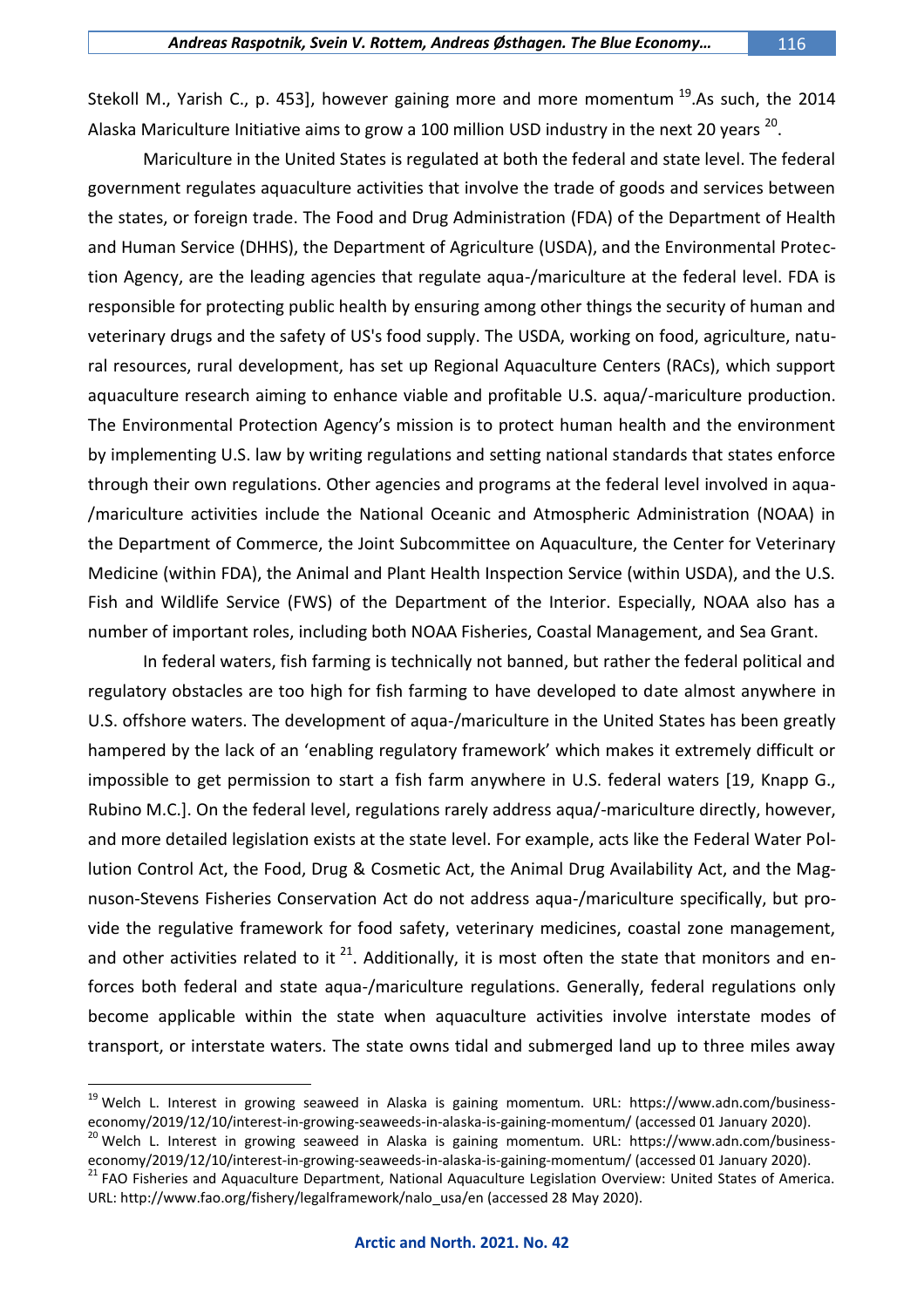Stekoll M., Yarish C., p. 453], however gaining more and more momentum <sup>19</sup>.As such, the 2014 Alaska Mariculture Initiative aims to grow a 100 million USD industry in the next 20 years  $^{20}$ .

Mariculture in the United States is regulated at both the federal and state level. The federal government regulates aquaculture activities that involve the trade of goods and services between the states, or foreign trade. The Food and Drug Administration (FDA) of the Department of Health and Human Service (DHHS), the Department of Agriculture (USDA), and the Environmental Protection Agency, are the leading agencies that regulate aqua-/mariculture at the federal level. FDA is responsible for protecting public health by ensuring among other things the security of human and veterinary drugs and the safety of US's food supply. The USDA, working on food, agriculture, natural resources, rural development, has set up Regional Aquaculture Centers (RACs), which support aquaculture research aiming to enhance viable and profitable U.S. aqua/-mariculture production. The Environmental Protection Agency's mission is to protect human health and the environment by implementing U.S. law by writing regulations and setting national standards that states enforce through their own regulations. Other agencies and programs at the federal level involved in aqua- /mariculture activities include the National Oceanic and Atmospheric Administration (NOAA) in the Department of Commerce, the Joint Subcommittee on Aquaculture, the Center for Veterinary Medicine (within FDA), the Animal and Plant Health Inspection Service (within USDA), and the U.S. Fish and Wildlife Service (FWS) of the Department of the Interior. Especially, NOAA also has a number of important roles, including both NOAA Fisheries, Coastal Management, and Sea Grant.

In federal waters, fish farming is technically not banned, but rather the federal political and regulatory obstacles are too high for fish farming to have developed to date almost anywhere in U.S. offshore waters. The development of aqua-/mariculture in the United States has been greatly hampered by the lack of an 'enabling regulatory framework' which makes it extremely difficult or impossible to get permission to start a fish farm anywhere in U.S. federal waters [19, Knapp G., Rubino M.C.]. On the federal level, regulations rarely address aqua/-mariculture directly, however, and more detailed legislation exists at the state level. For example, acts like the Federal Water Pollution Control Act, the Food, Drug & Cosmetic Act, the Animal Drug Availability Act, and the Magnuson-Stevens Fisheries Conservation Act do not address aqua-/mariculture specifically, but provide the regulative framework for food safety, veterinary medicines, coastal zone management, and other activities related to it  $^{21}$ . Additionally, it is most often the state that monitors and enforces both federal and state aqua-/mariculture regulations. Generally, federal regulations only become applicable within the state when aquaculture activities involve interstate modes of transport, or interstate waters. The state owns tidal and submerged land up to three miles away

<sup>&</sup>lt;sup>19</sup> Welch L. Interest in growing seaweed in Alaska is gaining momentum. URL: https://www.adn.com/businesseconomy/2019/12/10/interest-in-growing-seaweeds-in-alaska-is-gaining-momentum/ (accessed 01 January 2020).

<sup>&</sup>lt;sup>20</sup> Welch L. Interest in growing seaweed in Alaska is gaining momentum. URL: https://www.adn.com/businesseconomy/2019/12/10/interest-in-growing-seaweeds-in-alaska-is-gaining-momentum/ (accessed 01 January 2020).

<sup>&</sup>lt;sup>21</sup> FAO Fisheries and Aquaculture Department, National Aquaculture Legislation Overview: United States of America. URL: http://www.fao.org/fishery/legalframework/nalo\_usa/en (accessed 28 May 2020).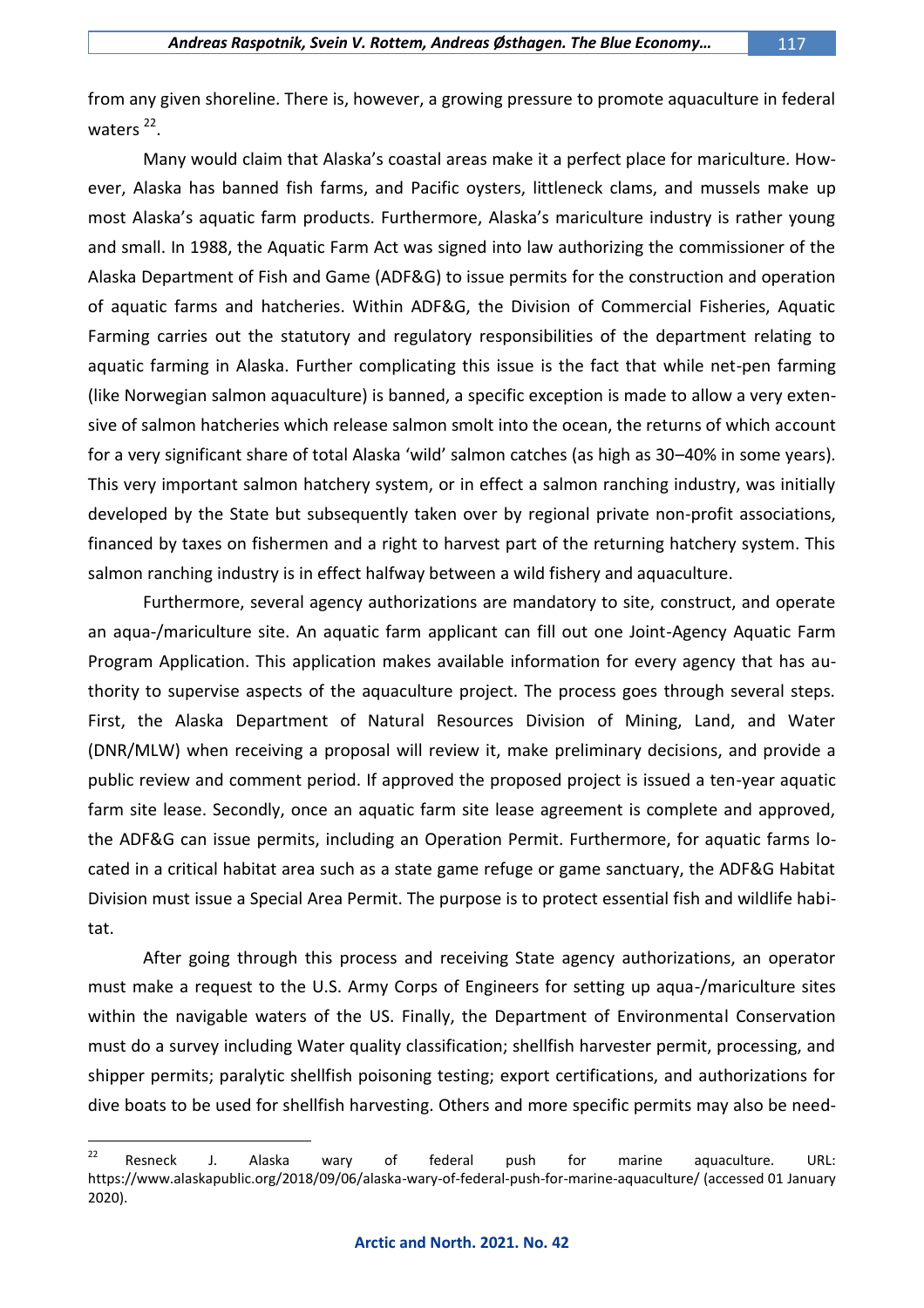from any given shoreline. There is, however, a growing pressure to promote aquaculture in federal waters<sup>22</sup>.

Many would claim that Alaska's coastal areas make it a perfect place for mariculture. However, Alaska has banned fish farms, and Pacific oysters, littleneck clams, and mussels make up most Alaska's aquatic farm products. Furthermore, Alaska's mariculture industry is rather young and small. In 1988, the Aquatic Farm Act was signed into law authorizing the commissioner of the Alaska Department of Fish and Game (ADF&G) to issue permits for the construction and operation of aquatic farms and hatcheries. Within ADF&G, the Division of Commercial Fisheries, Aquatic Farming carries out the statutory and regulatory responsibilities of the department relating to aquatic farming in Alaska. Further complicating this issue is the fact that while net-pen farming (like Norwegian salmon aquaculture) is banned, a specific exception is made to allow a very extensive of salmon hatcheries which release salmon smolt into the ocean, the returns of which account for a very significant share of total Alaska 'wild' salmon catches (as high as 30–40% in some years). This very important salmon hatchery system, or in effect a salmon ranching industry, was initially developed by the State but subsequently taken over by regional private non-profit associations, financed by taxes on fishermen and a right to harvest part of the returning hatchery system. This salmon ranching industry is in effect halfway between a wild fishery and aquaculture.

Furthermore, several agency authorizations are mandatory to site, construct, and operate an aqua-/mariculture site. An aquatic farm applicant can fill out one Joint-Agency Aquatic Farm Program Application. This application makes available information for every agency that has authority to supervise aspects of the aquaculture project. The process goes through several steps. First, the Alaska Department of Natural Resources Division of Mining, Land, and Water (DNR/MLW) when receiving a proposal will review it, make preliminary decisions, and provide a public review and comment period. If approved the proposed project is issued a ten-year aquatic farm site lease. Secondly, once an aquatic farm site lease agreement is complete and approved, the ADF&G can issue permits, including an Operation Permit. Furthermore, for aquatic farms located in a critical habitat area such as a state game refuge or game sanctuary, the ADF&G Habitat Division must issue a Special Area Permit. The purpose is to protect essential fish and wildlife habitat.

After going through this process and receiving State agency authorizations, an operator must make a request to the U.S. Army Corps of Engineers for setting up aqua-/mariculture sites within the navigable waters of the US. Finally, the Department of Environmental Conservation must do a survey including Water quality classification; shellfish harvester permit, processing, and shipper permits; paralytic shellfish poisoning testing; export certifications, and authorizations for dive boats to be used for shellfish harvesting. Others and more specific permits may also be need-

 $22$  Resneck J. Alaska wary of federal push for marine aquaculture. URL: https://www.alaskapublic.org/2018/09/06/alaska-wary-of-federal-push-for-marine-aquaculture/ (accessed 01 January 2020).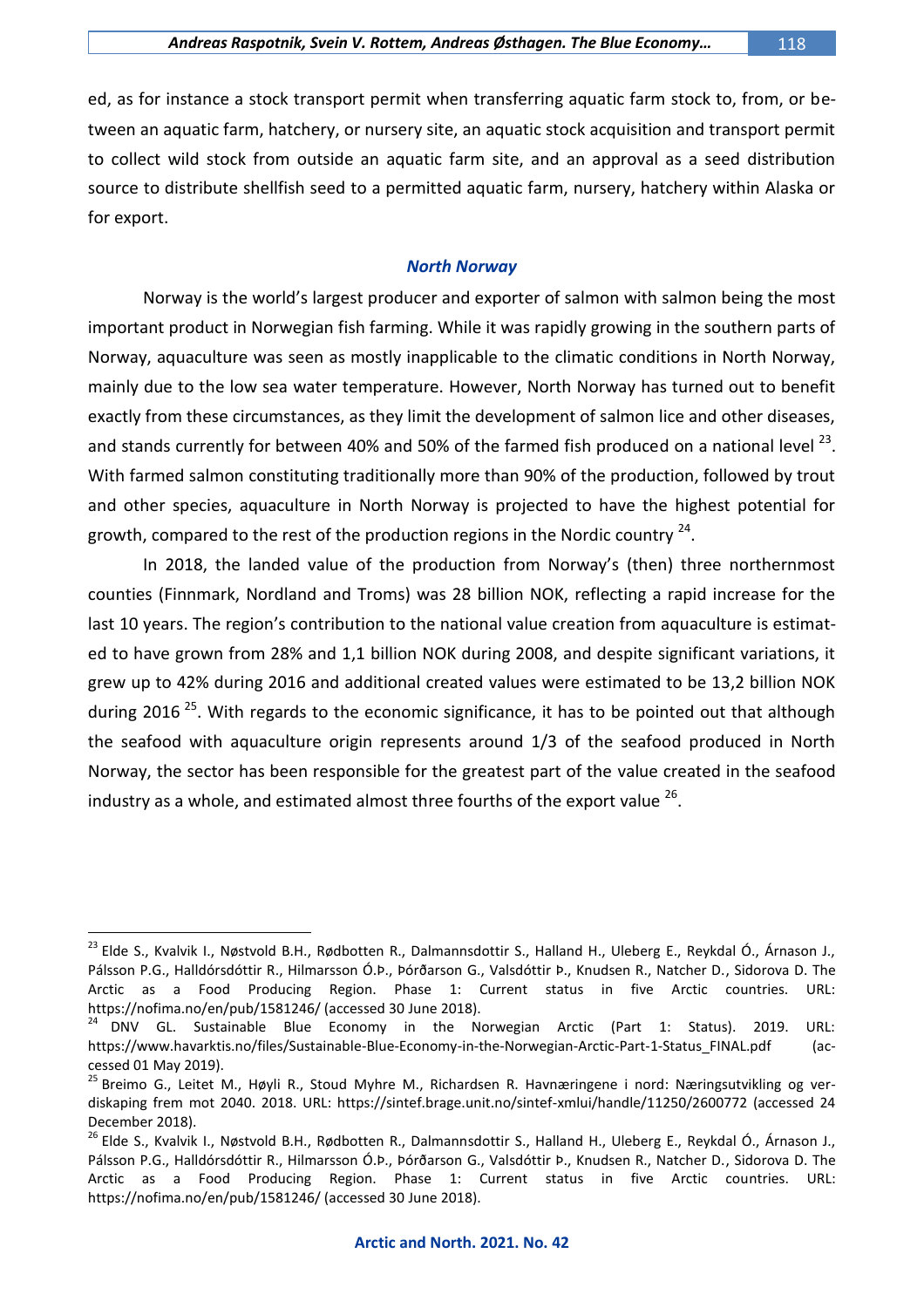ed, as for instance a stock transport permit when transferring aquatic farm stock to, from, or between an aquatic farm, hatchery, or nursery site, an aquatic stock acquisition and transport permit to collect wild stock from outside an aquatic farm site, and an approval as a seed distribution source to distribute shellfish seed to a permitted aquatic farm, nursery, hatchery within Alaska or for export.

# *North Norway*

Norway is the world's largest producer and exporter of salmon with salmon being the most important product in Norwegian fish farming. While it was rapidly growing in the southern parts of Norway, aquaculture was seen as mostly inapplicable to the climatic conditions in North Norway, mainly due to the low sea water temperature. However, North Norway has turned out to benefit exactly from these circumstances, as they limit the development of salmon lice and other diseases, and stands currently for between 40% and 50% of the farmed fish produced on a national level  $^{23}$ . With farmed salmon constituting traditionally more than 90% of the production, followed by trout and other species, aquaculture in North Norway is projected to have the highest potential for growth, compared to the rest of the production regions in the Nordic country  $^{24}.$ 

In 2018, the landed value of the production from Norway's (then) three northernmost counties (Finnmark, Nordland and Troms) was 28 billion NOK, reflecting a rapid increase for the last 10 years. The region's contribution to the national value creation from aquaculture is estimated to have grown from 28% and 1,1 billion NOK during 2008, and despite significant variations, it grew up to 42% during 2016 and additional created values were estimated to be 13,2 billion NOK during 2016<sup>25</sup>. With regards to the economic significance, it has to be pointed out that although the seafood with aquaculture origin represents around 1/3 of the seafood produced in North Norway, the sector has been responsible for the greatest part of the value created in the seafood industry as a whole, and estimated almost three fourths of the export value  $^{26}$ .

<sup>&</sup>lt;sup>23</sup> Elde S., Kvalvik I., Nøstvold B.H., Rødbotten R., Dalmannsdottir S., Halland H., Uleberg E., Reykdal Ó., Árnason J., Pálsson P.G., Halldórsdóttir R., Hilmarsson Ó.Þ., Þórðarson G., Valsdóttir Þ., Knudsen R., Natcher D., Sidorova D. The Arctic as a Food Producing Region. Phase 1: Current status in five Arctic countries. URL: https://nofima.no/en/pub/1581246/ (accessed 30 June 2018).

 $24$  DNV GL. Sustainable Blue Economy in the Norwegian Arctic (Part 1: Status). 2019. URL: https://www.havarktis.no/files/Sustainable-Blue-Economy-in-the-Norwegian-Arctic-Part-1-Status\_FINAL.pdf (accessed 01 May 2019).

<sup>&</sup>lt;sup>25</sup> Breimo G., Leitet M., Høyli R., Stoud Myhre M., Richardsen R. Havnæringene i nord: Næringsutvikling og verdiskaping frem mot 2040. 2018. URL: https://sintef.brage.unit.no/sintef-xmlui/handle/11250/2600772 (accessed 24 December 2018).

<sup>&</sup>lt;sup>26</sup> Elde S., Kvalvik I., Nøstvold B.H., Rødbotten R., Dalmannsdottir S., Halland H., Uleberg E., Reykdal Ó., Árnason J., Pálsson P.G., Halldórsdóttir R., Hilmarsson Ó.Þ., Þórðarson G., Valsdóttir Þ., Knudsen R., Natcher D., Sidorova D. The Arctic as a Food Producing Region. Phase 1: Current status in five Arctic countries. URL: https://nofima.no/en/pub/1581246/ (accessed 30 June 2018).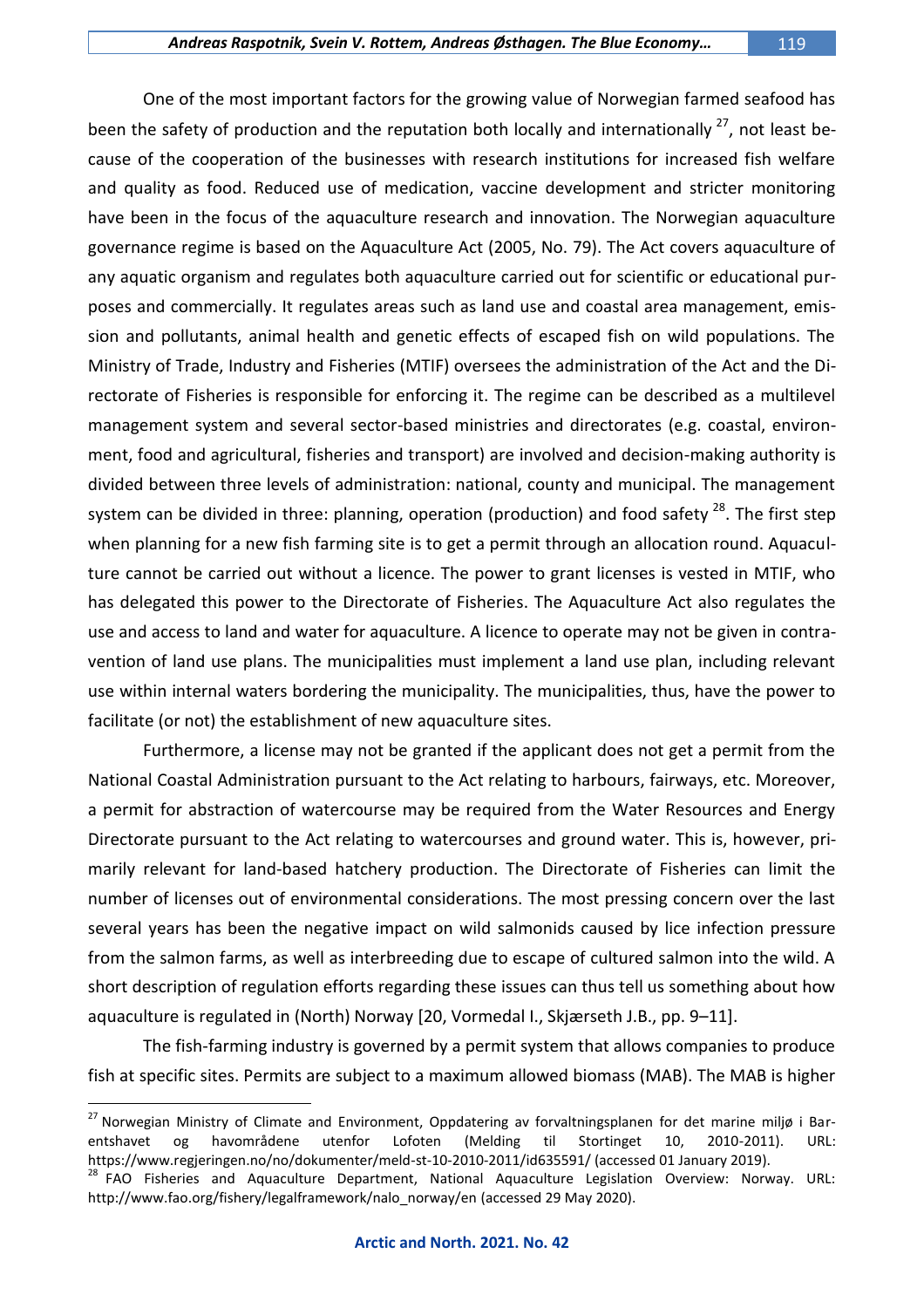One of the most important factors for the growing value of Norwegian farmed seafood has been the safety of production and the reputation both locally and internationally  $^{27}$ , not least because of the cooperation of the businesses with research institutions for increased fish welfare and quality as food. Reduced use of medication, vaccine development and stricter monitoring have been in the focus of the aquaculture research and innovation. The Norwegian aquaculture governance regime is based on the Aquaculture Act (2005, No. 79). The Act covers aquaculture of any aquatic organism and regulates both aquaculture carried out for scientific or educational purposes and commercially. It regulates areas such as land use and coastal area management, emission and pollutants, animal health and genetic effects of escaped fish on wild populations. The Ministry of Trade, Industry and Fisheries (MTIF) oversees the administration of the Act and the Directorate of Fisheries is responsible for enforcing it. The regime can be described as a multilevel management system and several sector-based ministries and directorates (e.g. coastal, environment, food and agricultural, fisheries and transport) are involved and decision-making authority is divided between three levels of administration: national, county and municipal. The management system can be divided in three: planning, operation (production) and food safety <sup>28</sup>. The first step when planning for a new fish farming site is to get a permit through an allocation round. Aquaculture cannot be carried out without a licence. The power to grant licenses is vested in MTIF, who has delegated this power to the Directorate of Fisheries. The Aquaculture Act also regulates the use and access to land and water for aquaculture. A licence to operate may not be given in contravention of land use plans. The municipalities must implement a land use plan, including relevant use within internal waters bordering the municipality. The municipalities, thus, have the power to facilitate (or not) the establishment of new aquaculture sites.

Furthermore, a license may not be granted if the applicant does not get a permit from the National Coastal Administration pursuant to the Act relating to harbours, fairways, etc. Moreover, a permit for abstraction of watercourse may be required from the Water Resources and Energy Directorate pursuant to the Act relating to watercourses and ground water. This is, however, primarily relevant for land-based hatchery production. The Directorate of Fisheries can limit the number of licenses out of environmental considerations. The most pressing concern over the last several years has been the negative impact on wild salmonids caused by lice infection pressure from the salmon farms, as well as interbreeding due to escape of cultured salmon into the wild. A short description of regulation efforts regarding these issues can thus tell us something about how aquaculture is regulated in (North) Norway [20, Vormedal I., Skjærseth J.B., pp. 9–11].

The fish-farming industry is governed by a permit system that allows companies to produce fish at specific sites. Permits are subject to a maximum allowed biomass (MAB). The MAB is higher

<sup>&</sup>lt;sup>27</sup> Norwegian Ministry of Climate and Environment, Oppdatering av forvaltningsplanen for det marine miljø i Barentshavet og havområdene utenfor Lofoten (Melding til Stortinget 10, 2010-2011). URL: <https://www.regjeringen.no/no/dokumenter/meld-st-10-2010-2011/id635591/> (accessed 01 January 2019).

<sup>&</sup>lt;sup>28</sup> FAO Fisheries and Aquaculture Department, National Aquaculture Legislation Overview: Norway. URL: [http://www.fao.org/fishery/legalframework/nalo\\_norway/en](http://www.fao.org/fishery/legalframework/nalo_norway/en) (accessed 29 May 2020).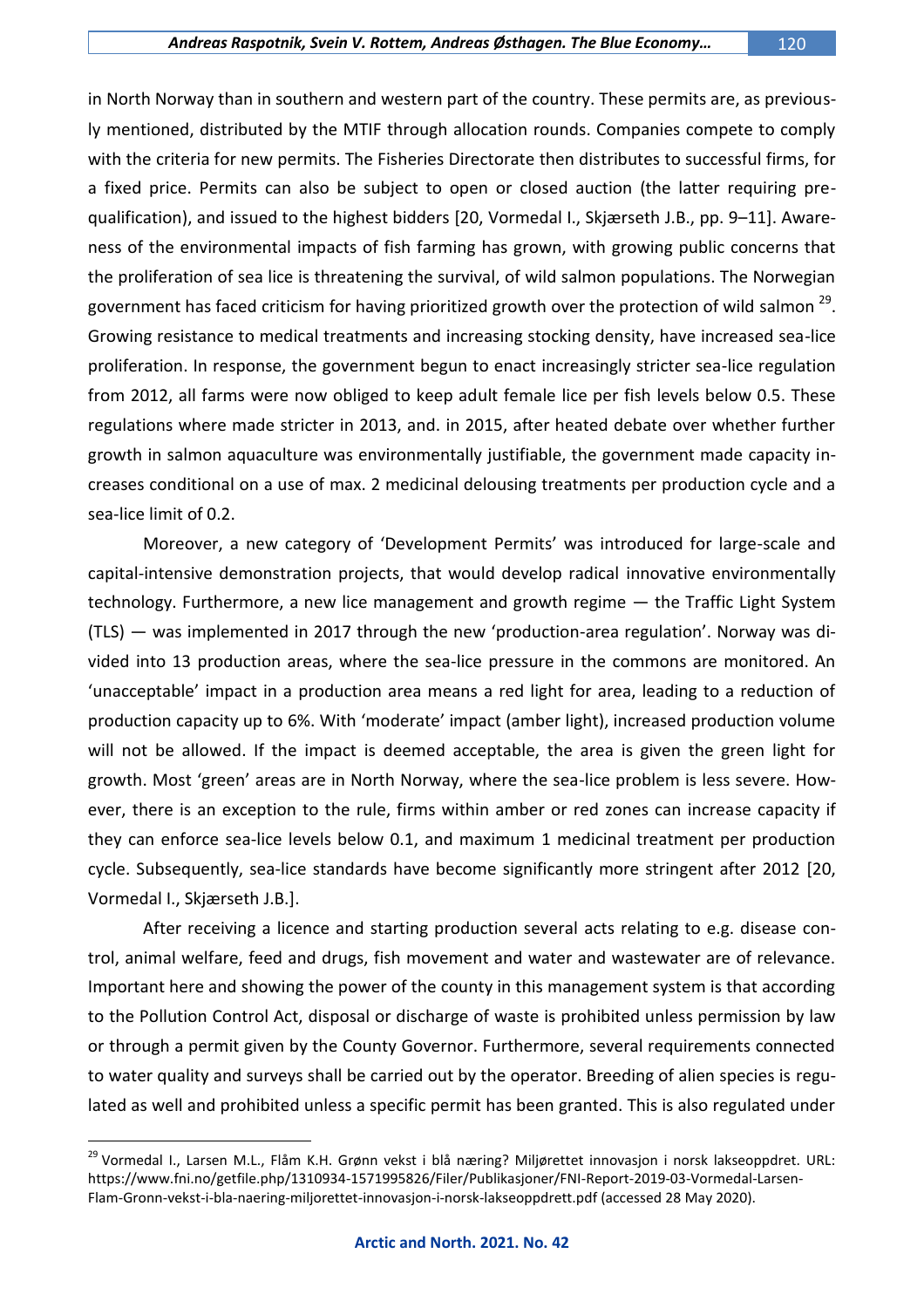in North Norway than in southern and western part of the country. These permits are, as previously mentioned, distributed by the MTIF through allocation rounds. Companies compete to comply with the criteria for new permits. The Fisheries Directorate then distributes to successful firms, for a fixed price. Permits can also be subject to open or closed auction (the latter requiring prequalification), and issued to the highest bidders [20, Vormedal I., Skjærseth J.B., pp. 9–11]. Awareness of the environmental impacts of fish farming has grown, with growing public concerns that the proliferation of sea lice is threatening the survival, of wild salmon populations. The Norwegian government has faced criticism for having prioritized growth over the protection of wild salmon  $^{29}$ . Growing resistance to medical treatments and increasing stocking density, have increased sea-lice proliferation. In response, the government begun to enact increasingly stricter sea-lice regulation from 2012, all farms were now obliged to keep adult female lice per fish levels below 0.5. These regulations where made stricter in 2013, and. in 2015, after heated debate over whether further growth in salmon aquaculture was environmentally justifiable, the government made capacity increases conditional on a use of max. 2 medicinal delousing treatments per production cycle and a sea-lice limit of 0.2.

Moreover, a new category of 'Development Permits' was introduced for large-scale and capital-intensive demonstration projects, that would develop radical innovative environmentally technology. Furthermore, a new lice management and growth regime — the Traffic Light System (TLS) — was implemented in 2017 through the new 'production-area regulation'. Norway was divided into 13 production areas, where the sea-lice pressure in the commons are monitored. An 'unacceptable' impact in a production area means a red light for area, leading to a reduction of production capacity up to 6%. With 'moderate' impact (amber light), increased production volume will not be allowed. If the impact is deemed acceptable, the area is given the green light for growth. Most 'green' areas are in North Norway, where the sea-lice problem is less severe. However, there is an exception to the rule, firms within amber or red zones can increase capacity if they can enforce sea-lice levels below 0.1, and maximum 1 medicinal treatment per production cycle. Subsequently, sea-lice standards have become significantly more stringent after 2012 [20, Vormedal I., Skjærseth J.B.].

After receiving a licence and starting production several acts relating to e.g. disease control, animal welfare, feed and drugs, fish movement and water and wastewater are of relevance. Important here and showing the power of the county in this management system is that according to the Pollution Control Act, disposal or discharge of waste is prohibited unless permission by law or through a permit given by the County Governor. Furthermore, several requirements connected to water quality and surveys shall be carried out by the operator. Breeding of alien species is regulated as well and prohibited unless a specific permit has been granted. This is also regulated under

<sup>&</sup>lt;sup>29</sup> Vormedal I., Larsen M.L., Flåm K.H. Grønn vekst i blå næring? Miljørettet innovasjon i norsk lakseoppdret. URL: [https://www.fni.no/getfile.php/1310934-1571995826/Filer/Publikasjoner/FNI-Report-2019-03-Vormedal-Larsen-](https://www.fni.no/getfile.php/1310934-1571995826/Filer/Publikasjoner/FNI-Report-2019-03-Vormedal-Larsen-Flam-Gronn-vekst-i-bla-naering-miljorettet-innovasjon-i-norsk-lakseoppdrett.pdf)[Flam-Gronn-vekst-i-bla-naering-miljorettet-innovasjon-i-norsk-lakseoppdrett.pdf](https://www.fni.no/getfile.php/1310934-1571995826/Filer/Publikasjoner/FNI-Report-2019-03-Vormedal-Larsen-Flam-Gronn-vekst-i-bla-naering-miljorettet-innovasjon-i-norsk-lakseoppdrett.pdf) (accessed 28 May 2020).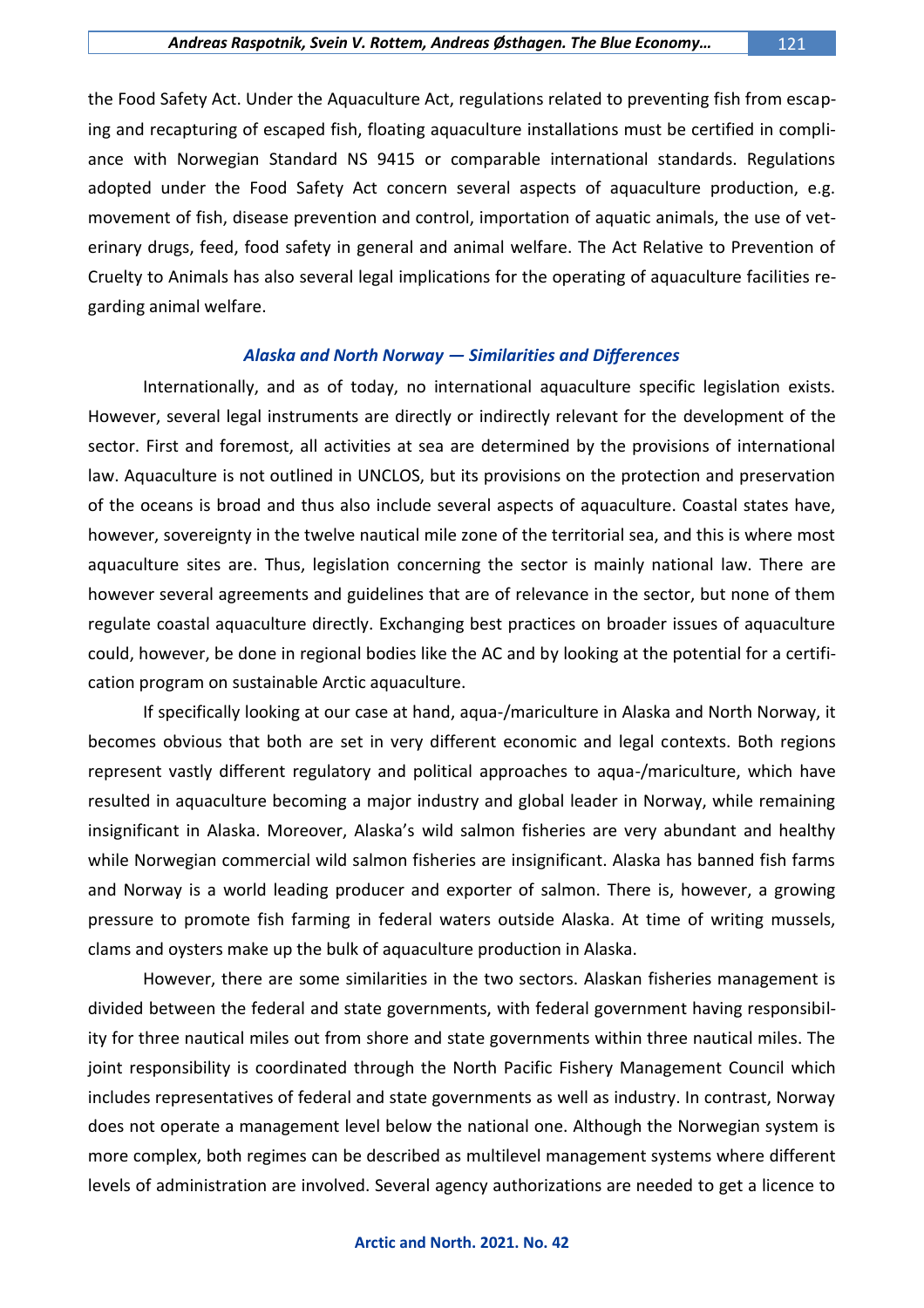the Food Safety Act. Under the Aquaculture Act, regulations related to preventing fish from escaping and recapturing of escaped fish, floating aquaculture installations must be certified in compliance with Norwegian Standard NS 9415 or comparable international standards. Regulations adopted under the Food Safety Act concern several aspects of aquaculture production, e.g. movement of fish, disease prevention and control, importation of aquatic animals, the use of veterinary drugs, feed, food safety in general and animal welfare. The Act Relative to Prevention of Cruelty to Animals has also several legal implications for the operating of aquaculture facilities regarding animal welfare.

#### *Alaska and North Norway — Similarities and Differences*

Internationally, and as of today, no international aquaculture specific legislation exists. However, several legal instruments are directly or indirectly relevant for the development of the sector. First and foremost, all activities at sea are determined by the provisions of international law. Aquaculture is not outlined in UNCLOS, but its provisions on the protection and preservation of the oceans is broad and thus also include several aspects of aquaculture. Coastal states have, however, sovereignty in the twelve nautical mile zone of the territorial sea, and this is where most aquaculture sites are. Thus, legislation concerning the sector is mainly national law. There are however several agreements and guidelines that are of relevance in the sector, but none of them regulate coastal aquaculture directly. Exchanging best practices on broader issues of aquaculture could, however, be done in regional bodies like the AC and by looking at the potential for a certification program on sustainable Arctic aquaculture.

If specifically looking at our case at hand, aqua-/mariculture in Alaska and North Norway, it becomes obvious that both are set in very different economic and legal contexts. Both regions represent vastly different regulatory and political approaches to aqua-/mariculture, which have resulted in aquaculture becoming a major industry and global leader in Norway, while remaining insignificant in Alaska. Moreover, Alaska's wild salmon fisheries are very abundant and healthy while Norwegian commercial wild salmon fisheries are insignificant. Alaska has banned fish farms and Norway is a world leading producer and exporter of salmon. There is, however, a growing pressure to promote fish farming in federal waters outside Alaska. At time of writing mussels, clams and oysters make up the bulk of aquaculture production in Alaska.

However, there are some similarities in the two sectors. Alaskan fisheries management is divided between the federal and state governments, with federal government having responsibility for three nautical miles out from shore and state governments within three nautical miles. The joint responsibility is coordinated through the North Pacific Fishery Management Council which includes representatives of federal and state governments as well as industry. In contrast, Norway does not operate a management level below the national one. Although the Norwegian system is more complex, both regimes can be described as multilevel management systems where different levels of administration are involved. Several agency authorizations are needed to get a licence to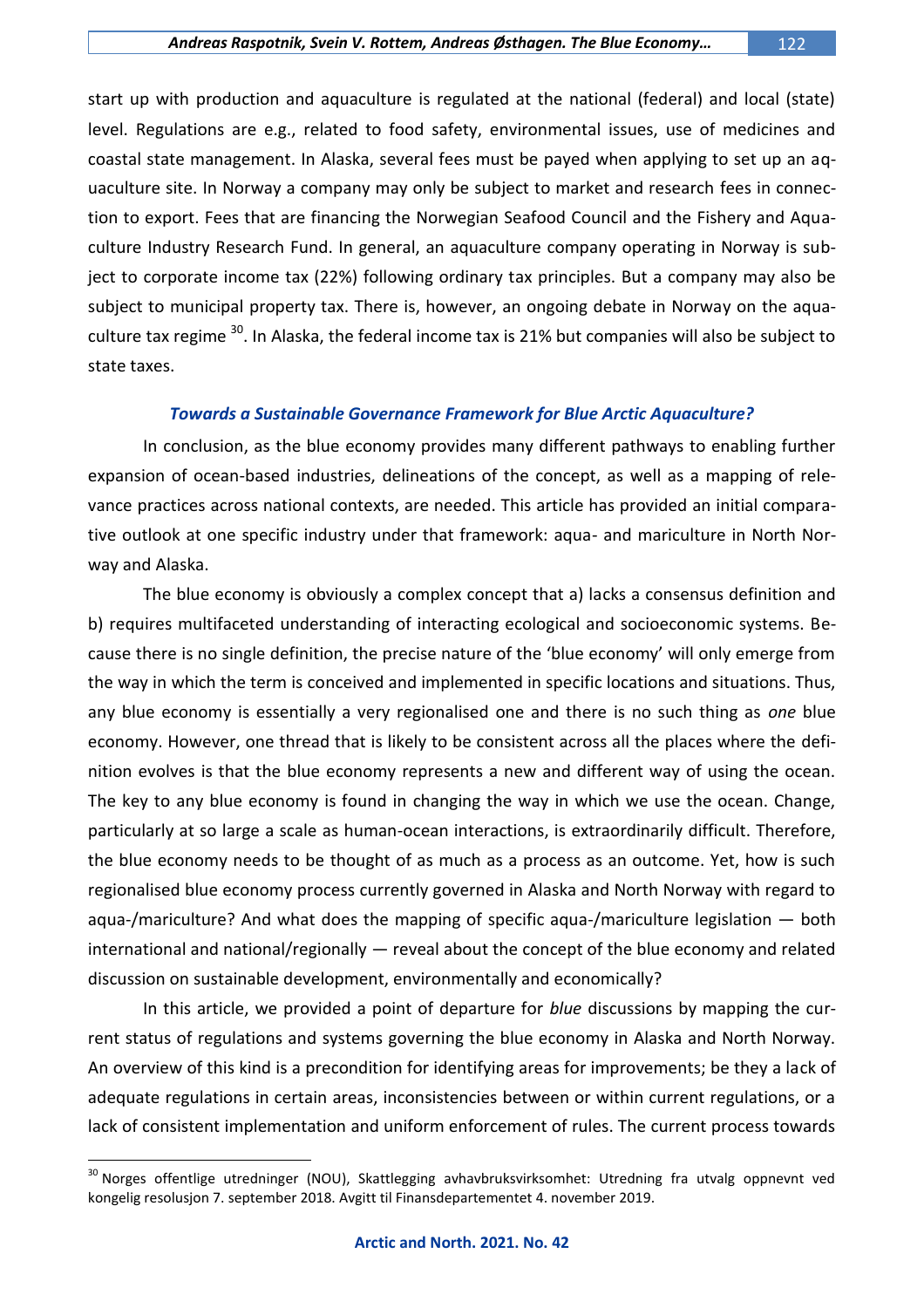start up with production and aquaculture is regulated at the national (federal) and local (state) level. Regulations are e.g., related to food safety, environmental issues, use of medicines and coastal state management. In Alaska, several fees must be payed when applying to set up an aquaculture site. In Norway a company may only be subject to market and research fees in connection to export. Fees that are financing the Norwegian Seafood Council and the Fishery and Aquaculture Industry Research Fund. In general, an aquaculture company operating in Norway is subject to corporate income tax (22%) following ordinary tax principles. But a company may also be subject to municipal property tax. There is, however, an ongoing debate in Norway on the aquaculture tax regime <sup>30</sup>. In Alaska, the federal income tax is 21% but companies will also be subject to state taxes.

## *Towards a Sustainable Governance Framework for Blue Arctic Aquaculture?*

In conclusion, as the blue economy provides many different pathways to enabling further expansion of ocean-based industries, delineations of the concept, as well as a mapping of relevance practices across national contexts, are needed. This article has provided an initial comparative outlook at one specific industry under that framework: aqua- and mariculture in North Norway and Alaska.

The blue economy is obviously a complex concept that a) lacks a consensus definition and b) requires multifaceted understanding of interacting ecological and socioeconomic systems. Because there is no single definition, the precise nature of the 'blue economy' will only emerge from the way in which the term is conceived and implemented in specific locations and situations. Thus, any blue economy is essentially a very regionalised one and there is no such thing as *one* blue economy. However, one thread that is likely to be consistent across all the places where the definition evolves is that the blue economy represents a new and different way of using the ocean. The key to any blue economy is found in changing the way in which we use the ocean. Change, particularly at so large a scale as human-ocean interactions, is extraordinarily difficult. Therefore, the blue economy needs to be thought of as much as a process as an outcome. Yet, how is such regionalised blue economy process currently governed in Alaska and North Norway with regard to aqua-/mariculture? And what does the mapping of specific aqua-/mariculture legislation — both international and national/regionally — reveal about the concept of the blue economy and related discussion on sustainable development, environmentally and economically?

In this article, we provided a point of departure for *blue* discussions by mapping the current status of regulations and systems governing the blue economy in Alaska and North Norway. An overview of this kind is a precondition for identifying areas for improvements; be they a lack of adequate regulations in certain areas, inconsistencies between or within current regulations, or a lack of consistent implementation and uniform enforcement of rules. The current process towards

<sup>&</sup>lt;sup>30</sup> Norges offentlige utredninger (NOU), Skattlegging avhavbruksvirksomhet: Utredning fra utvalg oppnevnt ved kongelig resolusjon 7. september 2018. Avgitt til Finansdepartementet 4. november 2019.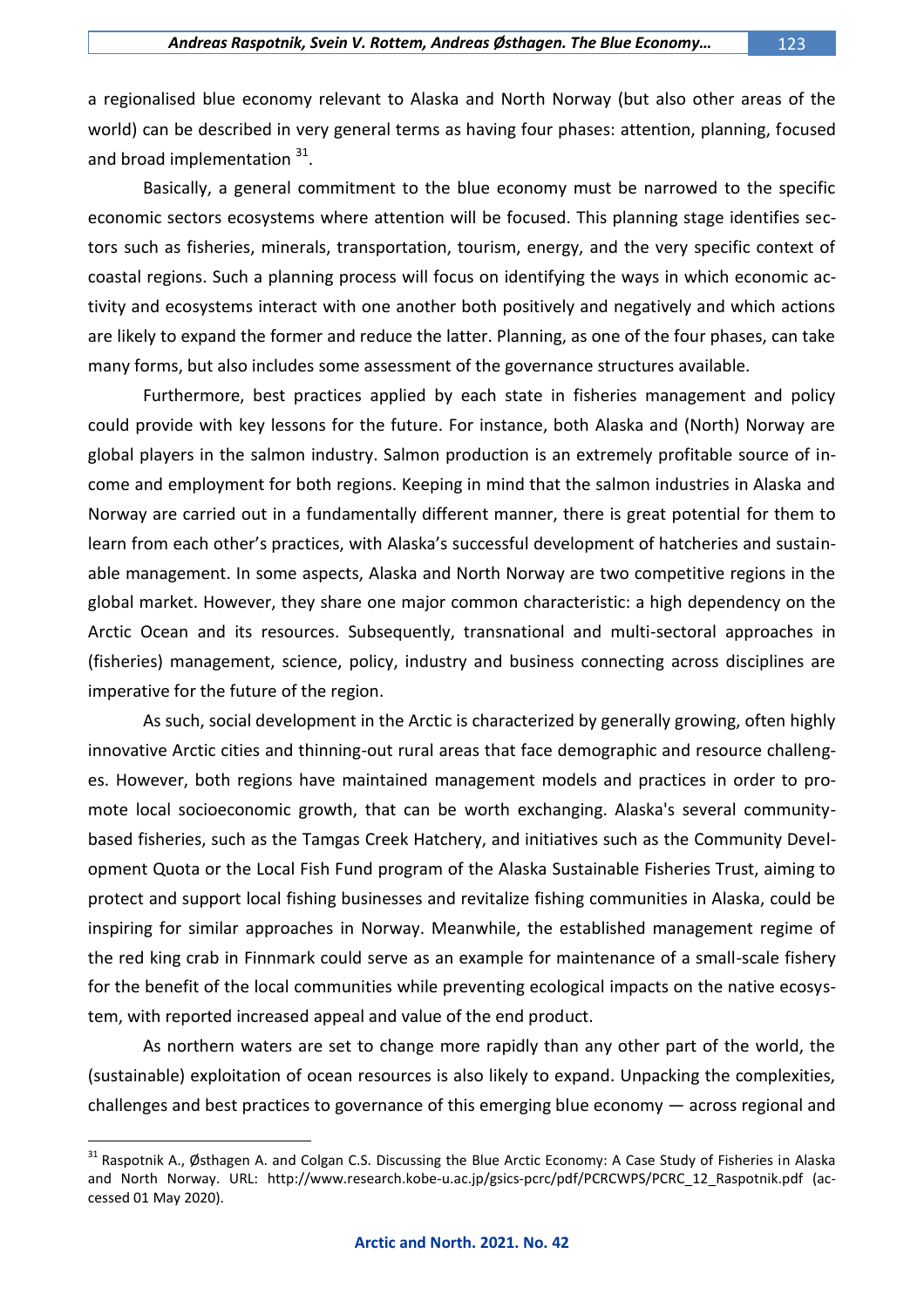a regionalised blue economy relevant to Alaska and North Norway (but also other areas of the world) can be described in very general terms as having four phases: attention, planning, focused and broad implementation <sup>31</sup>.

Basically, a general commitment to the blue economy must be narrowed to the specific economic sectors ecosystems where attention will be focused. This planning stage identifies sectors such as fisheries, minerals, transportation, tourism, energy, and the very specific context of coastal regions. Such a planning process will focus on identifying the ways in which economic activity and ecosystems interact with one another both positively and negatively and which actions are likely to expand the former and reduce the latter. Planning, as one of the four phases, can take many forms, but also includes some assessment of the governance structures available.

Furthermore, best practices applied by each state in fisheries management and policy could provide with key lessons for the future. For instance, both Alaska and (North) Norway are global players in the salmon industry. Salmon production is an extremely profitable source of income and employment for both regions. Keeping in mind that the salmon industries in Alaska and Norway are carried out in a fundamentally different manner, there is great potential for them to learn from each other's practices, with Alaska's successful development of hatcheries and sustainable management. In some aspects, Alaska and North Norway are two competitive regions in the global market. However, they share one major common characteristic: a high dependency on the Arctic Ocean and its resources. Subsequently, transnational and multi-sectoral approaches in (fisheries) management, science, policy, industry and business connecting across disciplines are imperative for the future of the region.

As such, social development in the Arctic is characterized by generally growing, often highly innovative Arctic cities and thinning-out rural areas that face demographic and resource challenges. However, both regions have maintained management models and practices in order to promote local socioeconomic growth, that can be worth exchanging. Alaska's several communitybased fisheries, such as the Tamgas Creek Hatchery, and initiatives such as the Community Development Quota or the Local Fish Fund program of the Alaska Sustainable Fisheries Trust, aiming to protect and support local fishing businesses and revitalize fishing communities in Alaska, could be inspiring for similar approaches in Norway. Meanwhile, the established management regime of the red king crab in Finnmark could serve as an example for maintenance of a small-scale fishery for the benefit of the local communities while preventing ecological impacts on the native ecosystem, with reported increased appeal and value of the end product.

As northern waters are set to change more rapidly than any other part of the world, the (sustainable) exploitation of ocean resources is also likely to expand. Unpacking the complexities, challenges and best practices to governance of this emerging blue economy  $-$  across regional and

 $31$  Raspotnik A., Østhagen A. and Colgan C.S. Discussing the Blue Arctic Economy: A Case Study of Fisheries in Alaska and North Norway. URL: [http://www.research.kobe-u.ac.jp/gsics-pcrc/pdf/PCRCWPS/PCRC\\_12\\_Raspotnik.pdf](http://www.research.kobe-u.ac.jp/gsics-pcrc/pdf/PCRCWPS/PCRC_12_Raspotnik.pdf) (accessed 01 May 2020).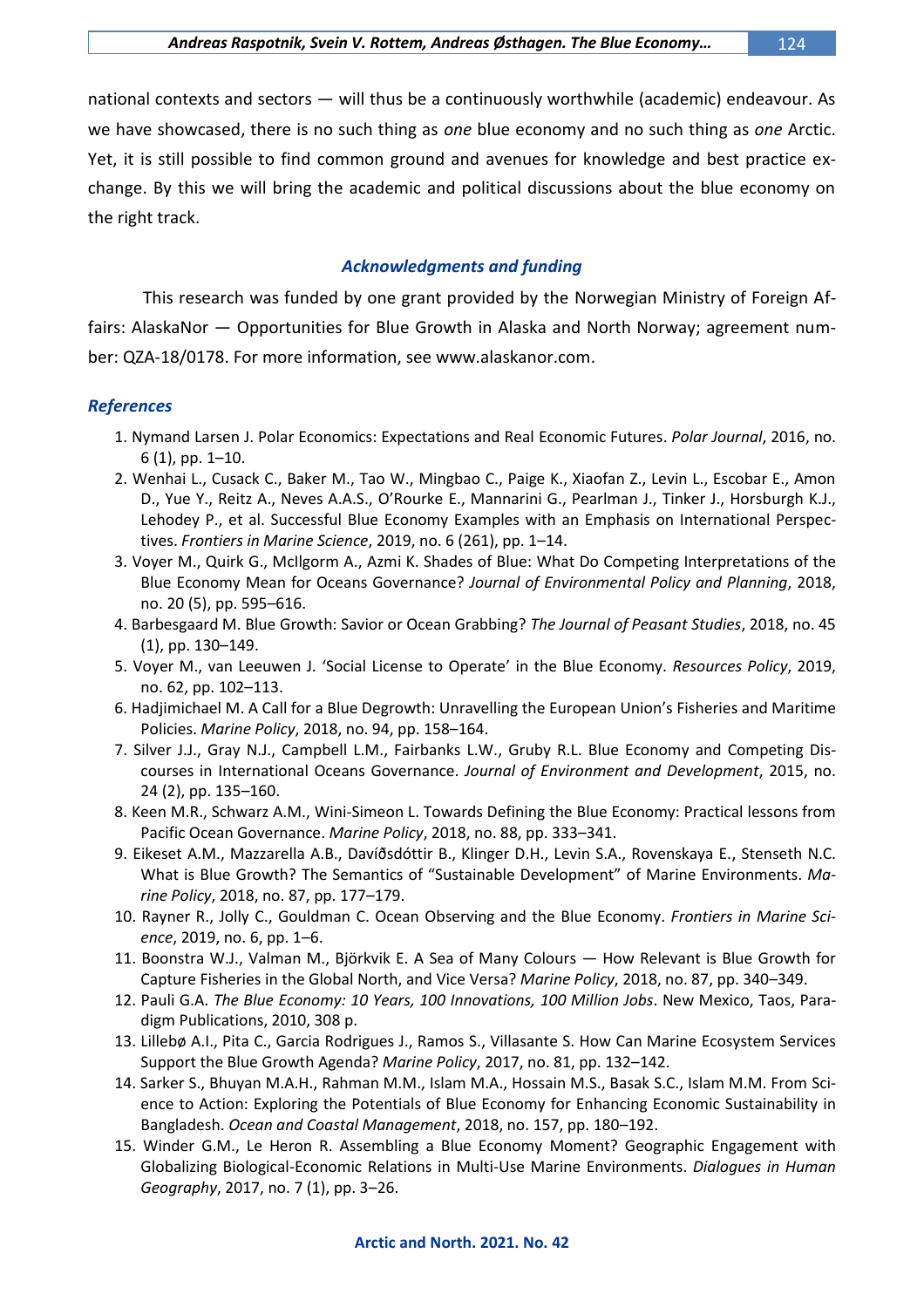national contexts and sectors — will thus be a continuously worthwhile (academic) endeavour. As we have showcased, there is no such thing as *one* blue economy and no such thing as *one* Arctic. Yet, it is still possible to find common ground and avenues for knowledge and best practice exchange. By this we will bring the academic and political discussions about the blue economy on the right track.

# *Acknowledgments and funding*

This research was funded by one grant provided by the Norwegian Ministry of Foreign Affairs: AlaskaNor — Opportunities for Blue Growth in Alaska and North Norway; agreement number: QZA-18/0178. For more information, see www.alaskanor.com.

### *References*

- 1. Nymand Larsen J. Polar Economics: Expectations and Real Economic Futures. *Polar Journal*, 2016, no. 6 (1), pp. 1–10.
- 2. Wenhai L., Cusack C., Baker M., Tao W., Mingbao C., Paige K., Xiaofan Z., Levin L., Escobar E., Amon D., Yue Y., Reitz A., Neves A.A.S., O'Rourke E., Mannarini G., Pearlman J., Tinker J., Horsburgh K.J., Lehodey P., et al. Successful Blue Economy Examples with an Emphasis on International Perspectives. *Frontiers in Marine Science*, 2019, no. 6 (261), pp. 1–14.
- 3. Voyer M., Quirk G., McIlgorm A., Azmi K. Shades of Blue: What Do Competing Interpretations of the Blue Economy Mean for Oceans Governance? *Journal of Environmental Policy and Planning*, 2018, no. 20 (5), pp. 595–616.
- 4. Barbesgaard M. Blue Growth: Savior or Ocean Grabbing? *The Journal of Peasant Studies*, 2018, no. 45 (1), pp. 130–149.
- 5. Voyer M., van Leeuwen J. 'Social License to Operate' in the Blue Economy. *Resources Policy*, 2019, no. 62, pp. 102–113.
- 6. Hadjimichael M. A Call for a Blue Degrowth: Unravelling the European Union's Fisheries and Maritime Policies. *Marine Policy*, 2018, no. 94, pp. 158–164.
- 7. Silver J.J., Gray N.J., Campbell L.M., Fairbanks L.W., Gruby R.L. Blue Economy and Competing Discourses in International Oceans Governance. *Journal of Environment and Development*, 2015, no. 24 (2), pp. 135–160.
- 8. Keen M.R., Schwarz A.M., Wini-Simeon L. Towards Defining the Blue Economy: Practical lessons from Pacific Ocean Governance. *Marine Policy*, 2018, no. 88, pp. 333–341.
- 9. Eikeset A.M., Mazzarella A.B., Davíðsdóttir B., Klinger D.H., Levin S.A., Rovenskaya E., Stenseth N.C. What is Blue Growth? The Semantics of "Sustainable Development" of Marine Environments. *Marine Policy*, 2018, no. 87, pp. 177–179.
- 10. Rayner R., Jolly C., Gouldman C. Ocean Observing and the Blue Economy. *Frontiers in Marine Science*, 2019, no. 6, pp. 1–6.
- 11. Boonstra W.J., Valman M., Björkvik E. A Sea of Many Colours How Relevant is Blue Growth for Capture Fisheries in the Global North, and Vice Versa? *Marine Policy*, 2018, no. 87, pp. 340–349.
- 12. Pauli G.A. *The Blue Economy: 10 Years, 100 Innovations, 100 Million Jobs*. New Mexico, Taos, Paradigm Publications, 2010, 308 p.
- 13. Lillebø A.I., Pita C., Garcia Rodrigues J., Ramos S., Villasante S. How Can Marine Ecosystem Services Support the Blue Growth Agenda? *Marine Policy*, 2017, no. 81, pp. 132–142.
- 14. Sarker S., Bhuyan M.A.H., Rahman M.M., Islam M.A., Hossain M.S., Basak S.C., Islam M.M. From Science to Action: Exploring the Potentials of Blue Economy for Enhancing Economic Sustainability in Bangladesh. *Ocean and Coastal Management*, 2018, no. 157, pp. 180–192.
- 15. Winder G.M., Le Heron R. Assembling a Blue Economy Moment? Geographic Engagement with Globalizing Biological-Economic Relations in Multi-Use Marine Environments. *Dialogues in Human Geography*, 2017, no. 7 (1), pp. 3–26.